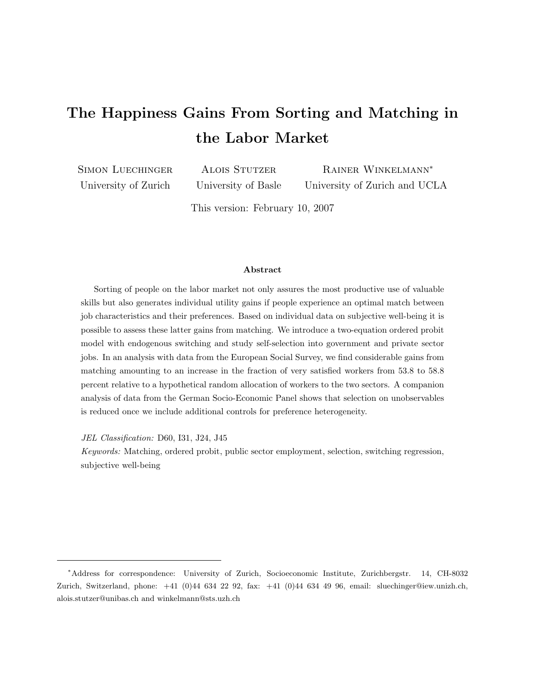# The Happiness Gains From Sorting and Matching in the Labor Market

Simon Luechinger University of Zurich

**ALOIS STUTZER** University of Basle

Rainer Winkelmann<sup>∗</sup> University of Zurich and UCLA

This version: February 10, 2007

## Abstract

Sorting of people on the labor market not only assures the most productive use of valuable skills but also generates individual utility gains if people experience an optimal match between job characteristics and their preferences. Based on individual data on subjective well-being it is possible to assess these latter gains from matching. We introduce a two-equation ordered probit model with endogenous switching and study self-selection into government and private sector jobs. In an analysis with data from the European Social Survey, we find considerable gains from matching amounting to an increase in the fraction of very satisfied workers from 53.8 to 58.8 percent relative to a hypothetical random allocation of workers to the two sectors. A companion analysis of data from the German Socio-Economic Panel shows that selection on unobservables is reduced once we include additional controls for preference heterogeneity.

JEL Classification: D60, I31, J24, J45

Keywords: Matching, ordered probit, public sector employment, selection, switching regression, subjective well-being

<sup>∗</sup>Address for correspondence: University of Zurich, Socioeconomic Institute, Zurichbergstr. 14, CH-8032 Zurich, Switzerland, phone: +41 (0)44 634 22 92, fax: +41 (0)44 634 49 96, email: sluechinger@iew.unizh.ch, alois.stutzer@unibas.ch and winkelmann@sts.uzh.ch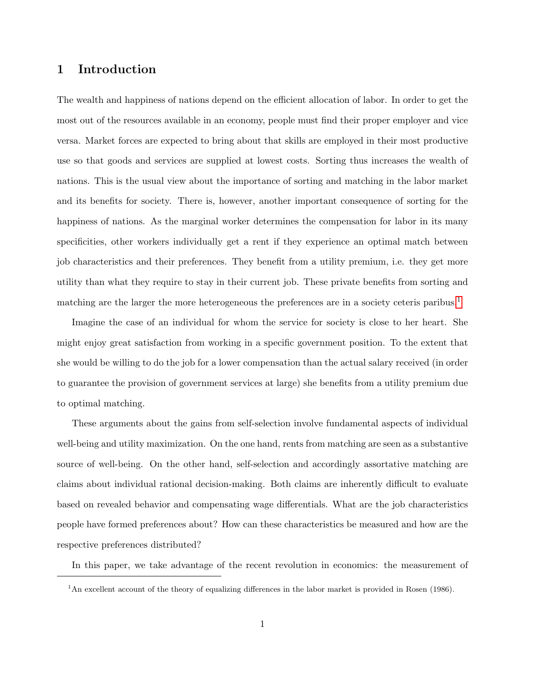# 1 Introduction

The wealth and happiness of nations depend on the efficient allocation of labor. In order to get the most out of the resources available in an economy, people must find their proper employer and vice versa. Market forces are expected to bring about that skills are employed in their most productive use so that goods and services are supplied at lowest costs. Sorting thus increases the wealth of nations. This is the usual view about the importance of sorting and matching in the labor market and its benefits for society. There is, however, another important consequence of sorting for the happiness of nations. As the marginal worker determines the compensation for labor in its many specificities, other workers individually get a rent if they experience an optimal match between job characteristics and their preferences. They benefit from a utility premium, i.e. they get more utility than what they require to stay in their current job. These private benefits from sorting and matching are the larger the more heterogeneous the preferences are in a society ceteris paribus.<sup>[1](#page-1-0)</sup>

Imagine the case of an individual for whom the service for society is close to her heart. She might enjoy great satisfaction from working in a specific government position. To the extent that she would be willing to do the job for a lower compensation than the actual salary received (in order to guarantee the provision of government services at large) she benefits from a utility premium due to optimal matching.

These arguments about the gains from self-selection involve fundamental aspects of individual well-being and utility maximization. On the one hand, rents from matching are seen as a substantive source of well-being. On the other hand, self-selection and accordingly assortative matching are claims about individual rational decision-making. Both claims are inherently difficult to evaluate based on revealed behavior and compensating wage differentials. What are the job characteristics people have formed preferences about? How can these characteristics be measured and how are the respective preferences distributed?

In this paper, we take advantage of the recent revolution in economics: the measurement of

<span id="page-1-0"></span><sup>&</sup>lt;sup>1</sup>An excellent account of the theory of equalizing differences in the labor market is provided in Rosen (1986).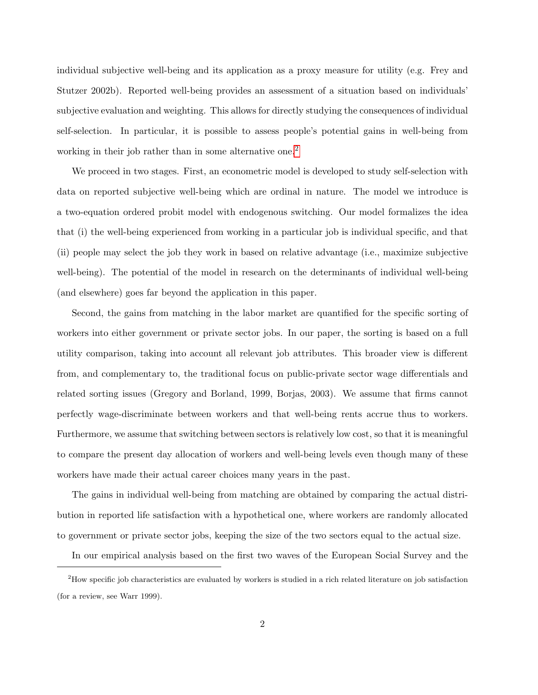individual subjective well-being and its application as a proxy measure for utility (e.g. Frey and Stutzer 2002b). Reported well-being provides an assessment of a situation based on individuals' subjective evaluation and weighting. This allows for directly studying the consequences of individual self-selection. In particular, it is possible to assess people's potential gains in well-being from working in their job rather than in some alternative one.<sup>[2](#page-2-0)</sup>

We proceed in two stages. First, an econometric model is developed to study self-selection with data on reported subjective well-being which are ordinal in nature. The model we introduce is a two-equation ordered probit model with endogenous switching. Our model formalizes the idea that (i) the well-being experienced from working in a particular job is individual specific, and that (ii) people may select the job they work in based on relative advantage (i.e., maximize subjective well-being). The potential of the model in research on the determinants of individual well-being (and elsewhere) goes far beyond the application in this paper.

Second, the gains from matching in the labor market are quantified for the specific sorting of workers into either government or private sector jobs. In our paper, the sorting is based on a full utility comparison, taking into account all relevant job attributes. This broader view is different from, and complementary to, the traditional focus on public-private sector wage differentials and related sorting issues (Gregory and Borland, 1999, Borjas, 2003). We assume that firms cannot perfectly wage-discriminate between workers and that well-being rents accrue thus to workers. Furthermore, we assume that switching between sectors is relatively low cost, so that it is meaningful to compare the present day allocation of workers and well-being levels even though many of these workers have made their actual career choices many years in the past.

The gains in individual well-being from matching are obtained by comparing the actual distribution in reported life satisfaction with a hypothetical one, where workers are randomly allocated to government or private sector jobs, keeping the size of the two sectors equal to the actual size.

<span id="page-2-0"></span>In our empirical analysis based on the first two waves of the European Social Survey and the

 $2$ How specific job characteristics are evaluated by workers is studied in a rich related literature on job satisfaction (for a review, see Warr 1999).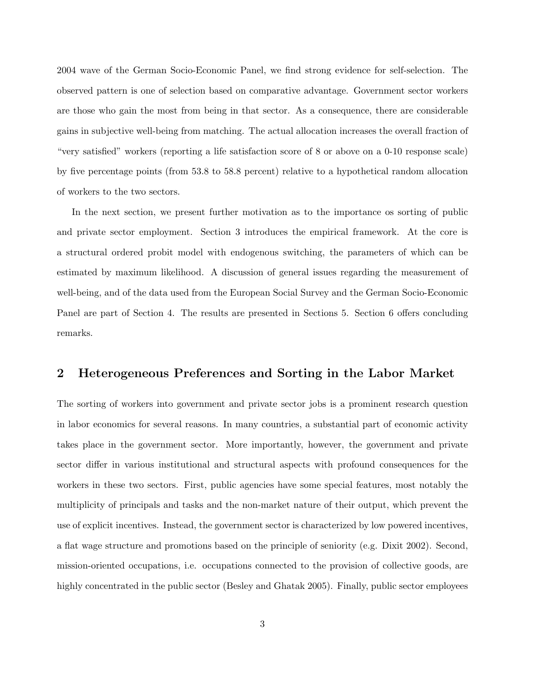2004 wave of the German Socio-Economic Panel, we find strong evidence for self-selection. The observed pattern is one of selection based on comparative advantage. Government sector workers are those who gain the most from being in that sector. As a consequence, there are considerable gains in subjective well-being from matching. The actual allocation increases the overall fraction of "very satisfied" workers (reporting a life satisfaction score of 8 or above on a 0-10 response scale) by five percentage points (from 53.8 to 58.8 percent) relative to a hypothetical random allocation of workers to the two sectors.

In the next section, we present further motivation as to the importance os sorting of public and private sector employment. Section 3 introduces the empirical framework. At the core is a structural ordered probit model with endogenous switching, the parameters of which can be estimated by maximum likelihood. A discussion of general issues regarding the measurement of well-being, and of the data used from the European Social Survey and the German Socio-Economic Panel are part of Section 4. The results are presented in Sections 5. Section 6 offers concluding remarks.

# 2 Heterogeneous Preferences and Sorting in the Labor Market

The sorting of workers into government and private sector jobs is a prominent research question in labor economics for several reasons. In many countries, a substantial part of economic activity takes place in the government sector. More importantly, however, the government and private sector differ in various institutional and structural aspects with profound consequences for the workers in these two sectors. First, public agencies have some special features, most notably the multiplicity of principals and tasks and the non-market nature of their output, which prevent the use of explicit incentives. Instead, the government sector is characterized by low powered incentives, a flat wage structure and promotions based on the principle of seniority (e.g. Dixit 2002). Second, mission-oriented occupations, i.e. occupations connected to the provision of collective goods, are highly concentrated in the public sector (Besley and Ghatak 2005). Finally, public sector employees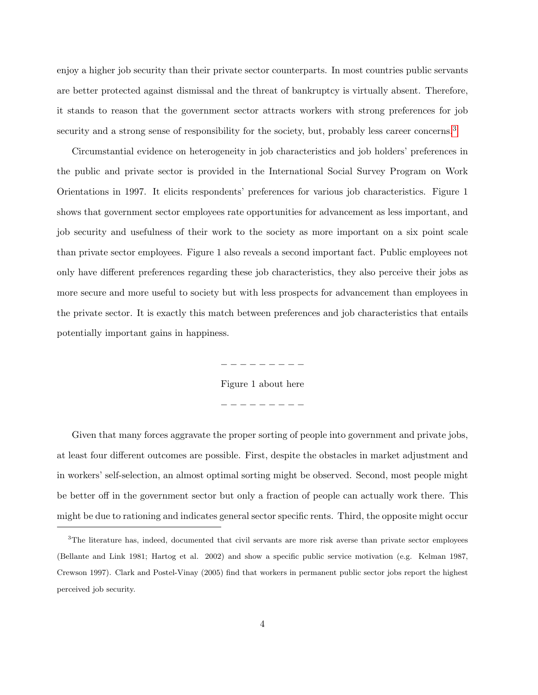enjoy a higher job security than their private sector counterparts. In most countries public servants are better protected against dismissal and the threat of bankruptcy is virtually absent. Therefore, it stands to reason that the government sector attracts workers with strong preferences for job security and a strong sense of responsibility for the society, but, probably less career concerns.<sup>[3](#page-4-0)</sup>

Circumstantial evidence on heterogeneity in job characteristics and job holders' preferences in the public and private sector is provided in the International Social Survey Program on Work Orientations in 1997. It elicits respondents' preferences for various job characteristics. Figure 1 shows that government sector employees rate opportunities for advancement as less important, and job security and usefulness of their work to the society as more important on a six point scale than private sector employees. Figure 1 also reveals a second important fact. Public employees not only have different preferences regarding these job characteristics, they also perceive their jobs as more secure and more useful to society but with less prospects for advancement than employees in the private sector. It is exactly this match between preferences and job characteristics that entails potentially important gains in happiness.

> − − − − − − − − − Figure 1 about here − − − − − − − − −

Given that many forces aggravate the proper sorting of people into government and private jobs, at least four different outcomes are possible. First, despite the obstacles in market adjustment and in workers' self-selection, an almost optimal sorting might be observed. Second, most people might be better off in the government sector but only a fraction of people can actually work there. This might be due to rationing and indicates general sector specific rents. Third, the opposite might occur

<span id="page-4-0"></span><sup>&</sup>lt;sup>3</sup>The literature has, indeed, documented that civil servants are more risk averse than private sector employees (Bellante and Link 1981; Hartog et al. 2002) and show a specific public service motivation (e.g. Kelman 1987, Crewson 1997). Clark and Postel-Vinay (2005) find that workers in permanent public sector jobs report the highest perceived job security.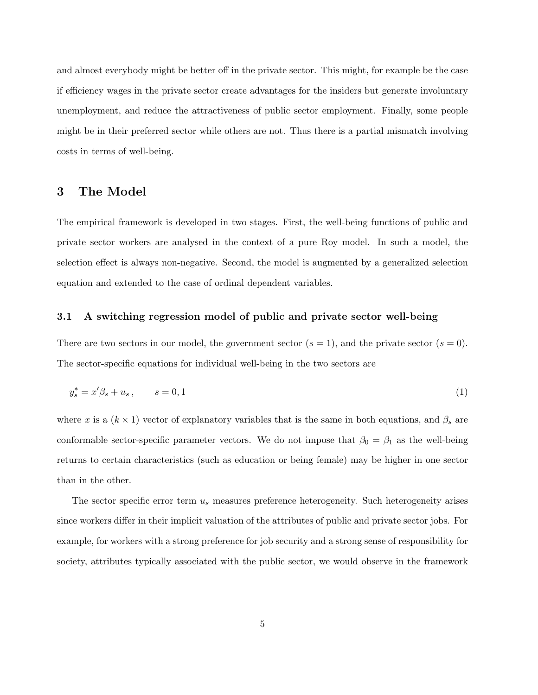and almost everybody might be better off in the private sector. This might, for example be the case if efficiency wages in the private sector create advantages for the insiders but generate involuntary unemployment, and reduce the attractiveness of public sector employment. Finally, some people might be in their preferred sector while others are not. Thus there is a partial mismatch involving costs in terms of well-being.

## 3 The Model

The empirical framework is developed in two stages. First, the well-being functions of public and private sector workers are analysed in the context of a pure Roy model. In such a model, the selection effect is always non-negative. Second, the model is augmented by a generalized selection equation and extended to the case of ordinal dependent variables.

#### 3.1 A switching regression model of public and private sector well-being

There are two sectors in our model, the government sector  $(s = 1)$ , and the private sector  $(s = 0)$ . The sector-specific equations for individual well-being in the two sectors are

$$
y_s^* = x'\beta_s + u_s \,, \qquad s = 0, 1 \tag{1}
$$

where x is a  $(k \times 1)$  vector of explanatory variables that is the same in both equations, and  $\beta_s$  are conformable sector-specific parameter vectors. We do not impose that  $\beta_0 = \beta_1$  as the well-being returns to certain characteristics (such as education or being female) may be higher in one sector than in the other.

The sector specific error term  $u_s$  measures preference heterogeneity. Such heterogeneity arises since workers differ in their implicit valuation of the attributes of public and private sector jobs. For example, for workers with a strong preference for job security and a strong sense of responsibility for society, attributes typically associated with the public sector, we would observe in the framework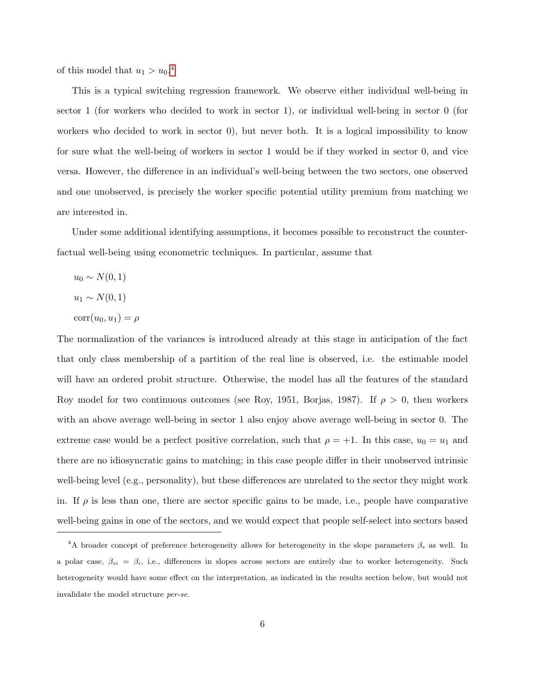of this model that  $u_1 > u_0$ .<sup>[4](#page-6-0)</sup>

This is a typical switching regression framework. We observe either individual well-being in sector 1 (for workers who decided to work in sector 1), or individual well-being in sector 0 (for workers who decided to work in sector 0), but never both. It is a logical impossibility to know for sure what the well-being of workers in sector 1 would be if they worked in sector 0, and vice versa. However, the difference in an individual's well-being between the two sectors, one observed and one unobserved, is precisely the worker specific potential utility premium from matching we are interested in.

Under some additional identifying assumptions, it becomes possible to reconstruct the counterfactual well-being using econometric techniques. In particular, assume that

- $u_0 \sim N(0, 1)$
- $u_1 \sim N(0, 1)$
- $corr(u_0, u_1) = \rho$

The normalization of the variances is introduced already at this stage in anticipation of the fact that only class membership of a partition of the real line is observed, i.e. the estimable model will have an ordered probit structure. Otherwise, the model has all the features of the standard Roy model for two continuous outcomes (see Roy, 1951, Borjas, 1987). If  $\rho > 0$ , then workers with an above average well-being in sector 1 also enjoy above average well-being in sector 0. The extreme case would be a perfect positive correlation, such that  $\rho = +1$ . In this case,  $u_0 = u_1$  and there are no idiosyncratic gains to matching; in this case people differ in their unobserved intrinsic well-being level (e.g., personality), but these differences are unrelated to the sector they might work in. If  $\rho$  is less than one, there are sector specific gains to be made, i.e., people have comparative well-being gains in one of the sectors, and we would expect that people self-select into sectors based

<span id="page-6-0"></span><sup>&</sup>lt;sup>4</sup>A broader concept of preference heterogeneity allows for heterogeneity in the slope parameters  $\beta_s$  as well. In a polar case,  $\beta_{si} = \beta_i$ , i.e., differences in slopes across sectors are entirely due to worker heterogeneity. Such heterogeneity would have some effect on the interpretation, as indicated in the results section below, but would not invalidate the model structure per-se.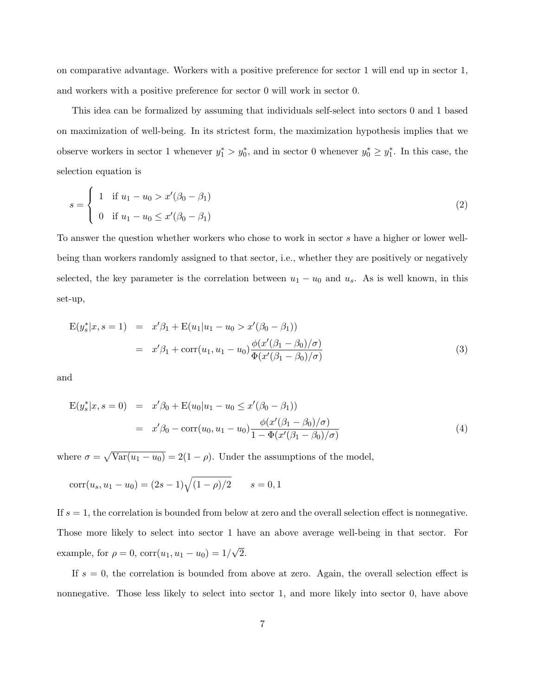on comparative advantage. Workers with a positive preference for sector 1 will end up in sector 1, and workers with a positive preference for sector 0 will work in sector 0.

This idea can be formalized by assuming that individuals self-select into sectors 0 and 1 based on maximization of well-being. In its strictest form, the maximization hypothesis implies that we observe workers in sector 1 whenever  $y_1^* > y_0^*$ , and in sector 0 whenever  $y_0^* \geq y_1^*$ . In this case, the selection equation is

$$
s = \begin{cases} 1 & \text{if } u_1 - u_0 > x'(\beta_0 - \beta_1) \\ 0 & \text{if } u_1 - u_0 \le x'(\beta_0 - \beta_1) \end{cases}
$$
 (2)

To answer the question whether workers who chose to work in sector s have a higher or lower wellbeing than workers randomly assigned to that sector, i.e., whether they are positively or negatively selected, the key parameter is the correlation between  $u_1 - u_0$  and  $u_s$ . As is well known, in this set-up,

$$
E(y_s^*|x, s=1) = x'\beta_1 + E(u_1|u_1 - u_0) \propto x'(\beta_0 - \beta_1)
$$
  
=  $x'\beta_1 + \text{corr}(u_1, u_1 - u_0) \frac{\phi(x'(\beta_1 - \beta_0)/\sigma)}{\Phi(x'(\beta_1 - \beta_0)/\sigma)}$  (3)

and

$$
E(y_s^*|x, s=0) = x'\beta_0 + E(u_0|u_1 - u_0 \le x'(\beta_0 - \beta_1))
$$
  
=  $x'\beta_0 - \text{corr}(u_0, u_1 - u_0) \frac{\phi(x'(\beta_1 - \beta_0)/\sigma)}{1 - \Phi(x'(\beta_1 - \beta_0)/\sigma)}$  (4)

where  $\sigma = \sqrt{\text{Var}(u_1 - u_0)} = 2(1 - \rho)$ . Under the assumptions of the model,

$$
corr(u_s, u_1 - u_0) = (2s - 1)\sqrt{(1 - \rho)/2} \qquad s = 0, 1
$$

If  $s = 1$ , the correlation is bounded from below at zero and the overall selection effect is nonnegative. Those more likely to select into sector 1 have an above average well-being in that sector. For example, for  $\rho = 0$ ,  $corr(u_1, u_1 - u_0) = 1/$ √ 2.

If  $s = 0$ , the correlation is bounded from above at zero. Again, the overall selection effect is nonnegative. Those less likely to select into sector 1, and more likely into sector 0, have above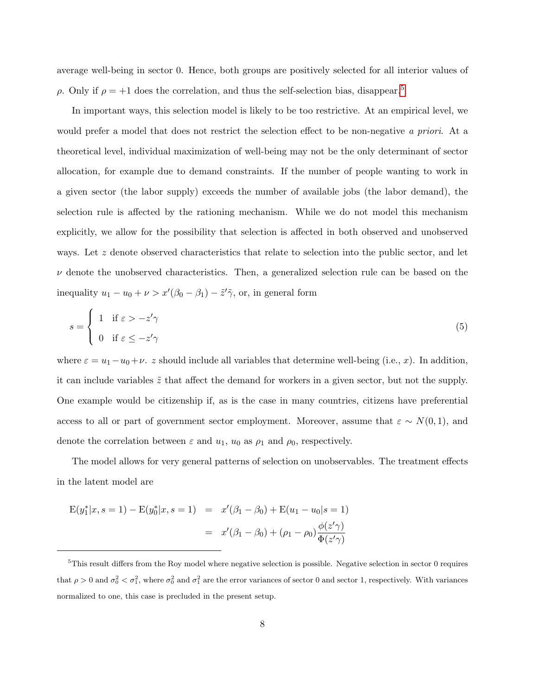average well-being in sector 0. Hence, both groups are positively selected for all interior values of  $ρ$ . Only if  $ρ = +1$  does the correlation, and thus the self-selection bias, disappear.<sup>[5](#page-8-0)</sup>

In important ways, this selection model is likely to be too restrictive. At an empirical level, we would prefer a model that does not restrict the selection effect to be non-negative a priori. At a theoretical level, individual maximization of well-being may not be the only determinant of sector allocation, for example due to demand constraints. If the number of people wanting to work in a given sector (the labor supply) exceeds the number of available jobs (the labor demand), the selection rule is affected by the rationing mechanism. While we do not model this mechanism explicitly, we allow for the possibility that selection is affected in both observed and unobserved ways. Let z denote observed characteristics that relate to selection into the public sector, and let  $\nu$  denote the unobserved characteristics. Then, a generalized selection rule can be based on the inequality  $u_1 - u_0 + \nu > x'(\beta_0 - \beta_1) - \tilde{z}'\tilde{\gamma}$ , or, in general form

$$
s = \begin{cases} 1 & \text{if } \varepsilon > -z'\gamma \\ 0 & \text{if } \varepsilon \le -z'\gamma \end{cases} \tag{5}
$$

where  $\varepsilon = u_1 - u_0 + \nu$ . z should include all variables that determine well-being (i.e., x). In addition, it can include variables  $\tilde{z}$  that affect the demand for workers in a given sector, but not the supply. One example would be citizenship if, as is the case in many countries, citizens have preferential access to all or part of government sector employment. Moreover, assume that  $\varepsilon \sim N(0, 1)$ , and denote the correlation between  $\varepsilon$  and  $u_1$ ,  $u_0$  as  $\rho_1$  and  $\rho_0$ , respectively.

The model allows for very general patterns of selection on unobservables. The treatment effects in the latent model are

$$
E(y_1^*|x, s = 1) - E(y_0^*|x, s = 1) = x'(\beta_1 - \beta_0) + E(u_1 - u_0|s = 1)
$$
  
=  $x'(\beta_1 - \beta_0) + (\rho_1 - \rho_0) \frac{\phi(z'\gamma)}{\Phi(z'\gamma)}$ 

<span id="page-8-0"></span><sup>5</sup>This result differs from the Roy model where negative selection is possible. Negative selection in sector 0 requires that  $\rho > 0$  and  $\sigma_0^2 < \sigma_1^2$ , where  $\sigma_0^2$  and  $\sigma_1^2$  are the error variances of sector 0 and sector 1, respectively. With variances normalized to one, this case is precluded in the present setup.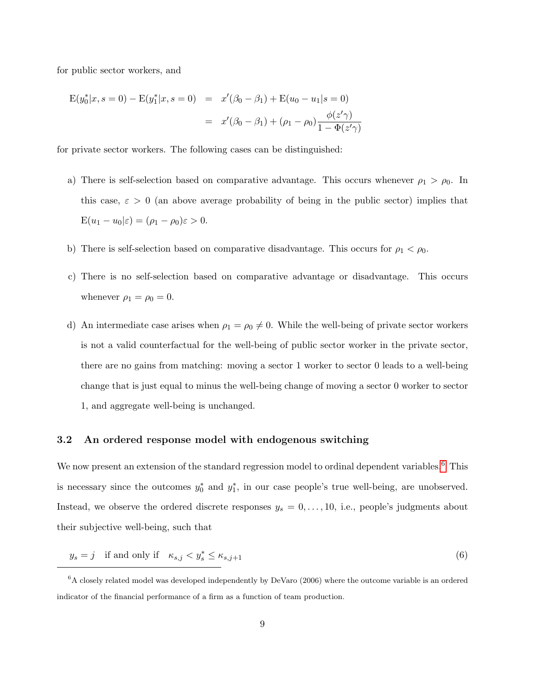for public sector workers, and

$$
E(y_0^*|x, s = 0) - E(y_1^*|x, s = 0) = x'(\beta_0 - \beta_1) + E(u_0 - u_1|s = 0)
$$
  
=  $x'(\beta_0 - \beta_1) + (\rho_1 - \rho_0) \frac{\phi(z'\gamma)}{1 - \Phi(z'\gamma)}$ 

for private sector workers. The following cases can be distinguished:

- a) There is self-selection based on comparative advantage. This occurs whenever  $\rho_1 > \rho_0$ . In this case,  $\varepsilon > 0$  (an above average probability of being in the public sector) implies that  $E(u_1 - u_0|\varepsilon) = (\rho_1 - \rho_0)\varepsilon > 0.$
- b) There is self-selection based on comparative disadvantage. This occurs for  $\rho_1 < \rho_0$ .
- c) There is no self-selection based on comparative advantage or disadvantage. This occurs whenever  $\rho_1 = \rho_0 = 0$ .
- d) An intermediate case arises when  $\rho_1 = \rho_0 \neq 0$ . While the well-being of private sector workers is not a valid counterfactual for the well-being of public sector worker in the private sector, there are no gains from matching: moving a sector 1 worker to sector 0 leads to a well-being change that is just equal to minus the well-being change of moving a sector 0 worker to sector 1, and aggregate well-being is unchanged.

#### 3.2 An ordered response model with endogenous switching

We now present an extension of the standard regression model to ordinal dependent variables.<sup>[6](#page-9-0)</sup> This is necessary since the outcomes  $y_0^*$  and  $y_1^*$ , in our case people's true well-being, are unobserved. Instead, we observe the ordered discrete responses  $y_s = 0, \ldots, 10$ , i.e., people's judgments about their subjective well-being, such that

$$
y_s = j \quad \text{if and only if} \quad \kappa_{s,j} < y_s^* \le \kappa_{s,j+1} \tag{6}
$$

<span id="page-9-0"></span> ${}^{6}$ A closely related model was developed independently by DeVaro (2006) where the outcome variable is an ordered indicator of the financial performance of a firm as a function of team production.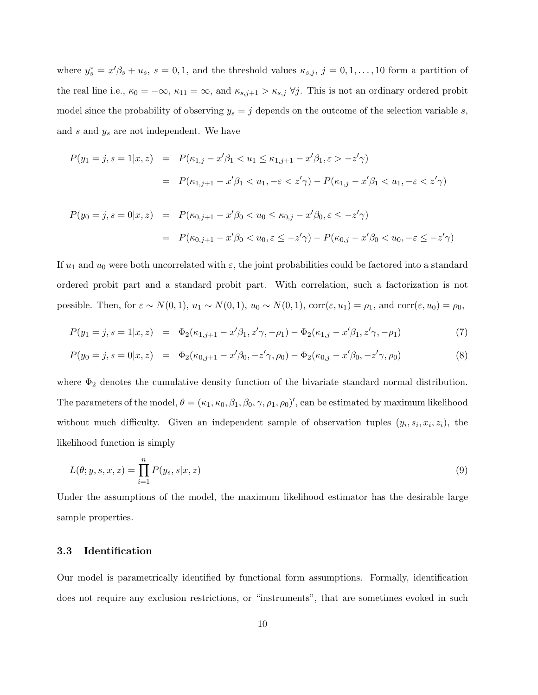where  $y_s^* = x'\beta_s + u_s$ ,  $s = 0, 1$ , and the threshold values  $\kappa_{s,j}$ ,  $j = 0, 1, ..., 10$  form a partition of the real line i.e.,  $\kappa_0 = -\infty$ ,  $\kappa_{11} = \infty$ , and  $\kappa_{s,j+1} > \kappa_{s,j}$   $\forall j$ . This is not an ordinary ordered probit model since the probability of observing  $y_s = j$  depends on the outcome of the selection variable s, and  $s$  and  $y_s$  are not independent. We have

$$
P(y_1 = j, s = 1 | x, z) = P(\kappa_{1,j} - x'\beta_1 < u_1 \le \kappa_{1,j+1} - x'\beta_1, \varepsilon > -z'\gamma)
$$
\n
$$
= P(\kappa_{1,j+1} - x'\beta_1 < u_1, -\varepsilon < z'\gamma) - P(\kappa_{1,j} - x'\beta_1 < u_1, -\varepsilon < z'\gamma)
$$

$$
P(y_0 = j, s = 0 | x, z) = P(\kappa_{0,j+1} - x'\beta_0 < u_0 \le \kappa_{0,j} - x'\beta_0, \varepsilon \le -z'\gamma)
$$
\n
$$
= P(\kappa_{0,j+1} - x'\beta_0 < u_0, \varepsilon \le -z'\gamma) - P(\kappa_{0,j} - x'\beta_0 < u_0, -\varepsilon \le -z'\gamma)
$$

If  $u_1$  and  $u_0$  were both uncorrelated with  $\varepsilon$ , the joint probabilities could be factored into a standard ordered probit part and a standard probit part. With correlation, such a factorization is not possible. Then, for  $\varepsilon \sim N(0, 1)$ ,  $u_1 \sim N(0, 1)$ ,  $u_0 \sim N(0, 1)$ ,  $corr(\varepsilon, u_1) = \rho_1$ , and  $corr(\varepsilon, u_0) = \rho_0$ ,

$$
P(y_1 = j, s = 1 | x, z) = \Phi_2(\kappa_{1,j+1} - x'\beta_1, z'\gamma, -\rho_1) - \Phi_2(\kappa_{1,j} - x'\beta_1, z'\gamma, -\rho_1)
$$
(7)

$$
P(y_0 = j, s = 0 | x, z) = \Phi_2(\kappa_{0,j+1} - x'\beta_0, -z'\gamma, \rho_0) - \Phi_2(\kappa_{0,j} - x'\beta_0, -z'\gamma, \rho_0)
$$
\n(8)

where  $\Phi_2$  denotes the cumulative density function of the bivariate standard normal distribution. The parameters of the model,  $\theta = (\kappa_1, \kappa_0, \beta_1, \beta_0, \gamma, \rho_1, \rho_0)'$ , can be estimated by maximum likelihood without much difficulty. Given an independent sample of observation tuples  $(y_i, s_i, x_i, z_i)$ , the likelihood function is simply

$$
L(\theta; y, s, x, z) = \prod_{i=1}^{n} P(y_s, s | x, z)
$$
\n(9)

Under the assumptions of the model, the maximum likelihood estimator has the desirable large sample properties.

#### 3.3 Identification

Our model is parametrically identified by functional form assumptions. Formally, identification does not require any exclusion restrictions, or "instruments", that are sometimes evoked in such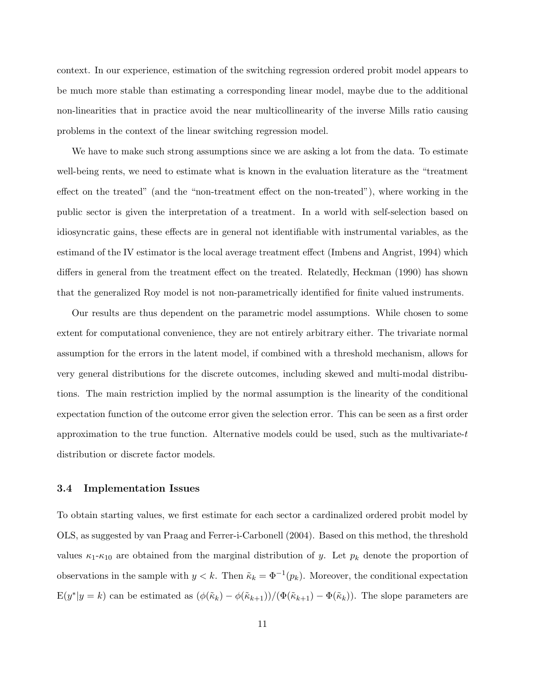context. In our experience, estimation of the switching regression ordered probit model appears to be much more stable than estimating a corresponding linear model, maybe due to the additional non-linearities that in practice avoid the near multicollinearity of the inverse Mills ratio causing problems in the context of the linear switching regression model.

We have to make such strong assumptions since we are asking a lot from the data. To estimate well-being rents, we need to estimate what is known in the evaluation literature as the "treatment effect on the treated" (and the "non-treatment effect on the non-treated"), where working in the public sector is given the interpretation of a treatment. In a world with self-selection based on idiosyncratic gains, these effects are in general not identifiable with instrumental variables, as the estimand of the IV estimator is the local average treatment effect (Imbens and Angrist, 1994) which differs in general from the treatment effect on the treated. Relatedly, Heckman (1990) has shown that the generalized Roy model is not non-parametrically identified for finite valued instruments.

Our results are thus dependent on the parametric model assumptions. While chosen to some extent for computational convenience, they are not entirely arbitrary either. The trivariate normal assumption for the errors in the latent model, if combined with a threshold mechanism, allows for very general distributions for the discrete outcomes, including skewed and multi-modal distributions. The main restriction implied by the normal assumption is the linearity of the conditional expectation function of the outcome error given the selection error. This can be seen as a first order approximation to the true function. Alternative models could be used, such as the multivariate-t distribution or discrete factor models.

## 3.4 Implementation Issues

To obtain starting values, we first estimate for each sector a cardinalized ordered probit model by OLS, as suggested by van Praag and Ferrer-i-Carbonell (2004). Based on this method, the threshold values  $\kappa_1-\kappa_{10}$  are obtained from the marginal distribution of y. Let  $p_k$  denote the proportion of observations in the sample with  $y < k$ . Then  $\tilde{\kappa}_k = \Phi^{-1}(p_k)$ . Moreover, the conditional expectation  $E(y^*|y = k)$  can be estimated as  $(\phi(\tilde{\kappa}_k) - \phi(\tilde{\kappa}_{k+1})) / (\Phi(\tilde{\kappa}_{k+1}) - \Phi(\tilde{\kappa}_k))$ . The slope parameters are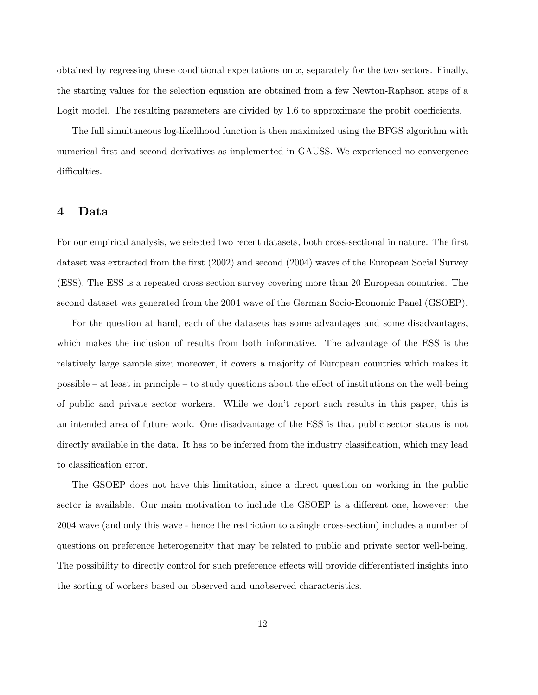obtained by regressing these conditional expectations on  $x$ , separately for the two sectors. Finally, the starting values for the selection equation are obtained from a few Newton-Raphson steps of a Logit model. The resulting parameters are divided by 1.6 to approximate the probit coefficients.

The full simultaneous log-likelihood function is then maximized using the BFGS algorithm with numerical first and second derivatives as implemented in GAUSS. We experienced no convergence difficulties.

# 4 Data

For our empirical analysis, we selected two recent datasets, both cross-sectional in nature. The first dataset was extracted from the first (2002) and second (2004) waves of the European Social Survey (ESS). The ESS is a repeated cross-section survey covering more than 20 European countries. The second dataset was generated from the 2004 wave of the German Socio-Economic Panel (GSOEP).

For the question at hand, each of the datasets has some advantages and some disadvantages, which makes the inclusion of results from both informative. The advantage of the ESS is the relatively large sample size; moreover, it covers a majority of European countries which makes it possible – at least in principle – to study questions about the effect of institutions on the well-being of public and private sector workers. While we don't report such results in this paper, this is an intended area of future work. One disadvantage of the ESS is that public sector status is not directly available in the data. It has to be inferred from the industry classification, which may lead to classification error.

The GSOEP does not have this limitation, since a direct question on working in the public sector is available. Our main motivation to include the GSOEP is a different one, however: the 2004 wave (and only this wave - hence the restriction to a single cross-section) includes a number of questions on preference heterogeneity that may be related to public and private sector well-being. The possibility to directly control for such preference effects will provide differentiated insights into the sorting of workers based on observed and unobserved characteristics.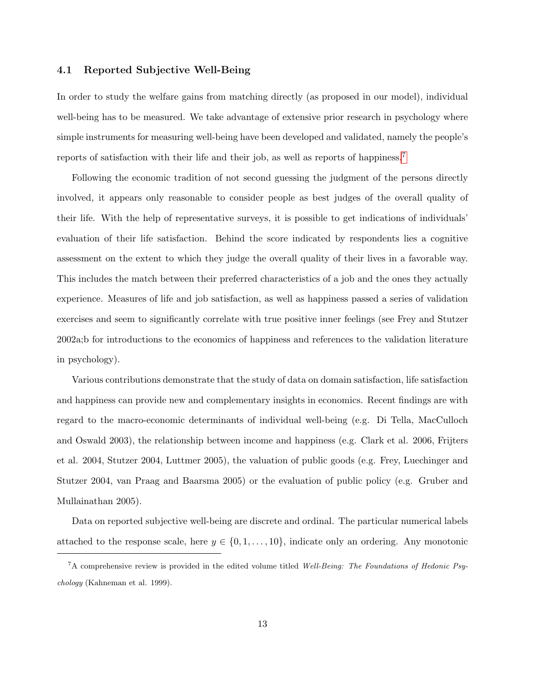## 4.1 Reported Subjective Well-Being

In order to study the welfare gains from matching directly (as proposed in our model), individual well-being has to be measured. We take advantage of extensive prior research in psychology where simple instruments for measuring well-being have been developed and validated, namely the people's reports of satisfaction with their life and their job, as well as reports of happiness.[7](#page-13-0)

Following the economic tradition of not second guessing the judgment of the persons directly involved, it appears only reasonable to consider people as best judges of the overall quality of their life. With the help of representative surveys, it is possible to get indications of individuals' evaluation of their life satisfaction. Behind the score indicated by respondents lies a cognitive assessment on the extent to which they judge the overall quality of their lives in a favorable way. This includes the match between their preferred characteristics of a job and the ones they actually experience. Measures of life and job satisfaction, as well as happiness passed a series of validation exercises and seem to significantly correlate with true positive inner feelings (see Frey and Stutzer 2002a;b for introductions to the economics of happiness and references to the validation literature in psychology).

Various contributions demonstrate that the study of data on domain satisfaction, life satisfaction and happiness can provide new and complementary insights in economics. Recent findings are with regard to the macro-economic determinants of individual well-being (e.g. Di Tella, MacCulloch and Oswald 2003), the relationship between income and happiness (e.g. Clark et al. 2006, Frijters et al. 2004, Stutzer 2004, Luttmer 2005), the valuation of public goods (e.g. Frey, Luechinger and Stutzer 2004, van Praag and Baarsma 2005) or the evaluation of public policy (e.g. Gruber and Mullainathan 2005).

Data on reported subjective well-being are discrete and ordinal. The particular numerical labels attached to the response scale, here  $y \in \{0, 1, \ldots, 10\}$ , indicate only an ordering. Any monotonic

<span id="page-13-0"></span> ${}^{7}$ A comprehensive review is provided in the edited volume titled Well-Being: The Foundations of Hedonic Psychology (Kahneman et al. 1999).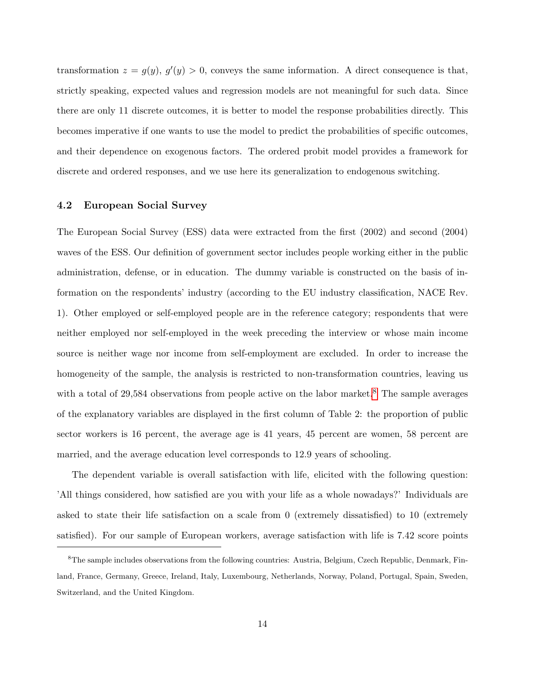transformation  $z = g(y)$ ,  $g'(y) > 0$ , conveys the same information. A direct consequence is that, strictly speaking, expected values and regression models are not meaningful for such data. Since there are only 11 discrete outcomes, it is better to model the response probabilities directly. This becomes imperative if one wants to use the model to predict the probabilities of specific outcomes, and their dependence on exogenous factors. The ordered probit model provides a framework for discrete and ordered responses, and we use here its generalization to endogenous switching.

## 4.2 European Social Survey

The European Social Survey (ESS) data were extracted from the first (2002) and second (2004) waves of the ESS. Our definition of government sector includes people working either in the public administration, defense, or in education. The dummy variable is constructed on the basis of information on the respondents' industry (according to the EU industry classification, NACE Rev. 1). Other employed or self-employed people are in the reference category; respondents that were neither employed nor self-employed in the week preceding the interview or whose main income source is neither wage nor income from self-employment are excluded. In order to increase the homogeneity of the sample, the analysis is restricted to non-transformation countries, leaving us with a total of  $29,584$  $29,584$  $29,584$  observations from people active on the labor market.<sup>8</sup> The sample averages of the explanatory variables are displayed in the first column of Table 2: the proportion of public sector workers is 16 percent, the average age is 41 years, 45 percent are women, 58 percent are married, and the average education level corresponds to 12.9 years of schooling.

The dependent variable is overall satisfaction with life, elicited with the following question: 'All things considered, how satisfied are you with your life as a whole nowadays?' Individuals are asked to state their life satisfaction on a scale from 0 (extremely dissatisfied) to 10 (extremely satisfied). For our sample of European workers, average satisfaction with life is 7.42 score points

<span id="page-14-0"></span><sup>8</sup>The sample includes observations from the following countries: Austria, Belgium, Czech Republic, Denmark, Finland, France, Germany, Greece, Ireland, Italy, Luxembourg, Netherlands, Norway, Poland, Portugal, Spain, Sweden, Switzerland, and the United Kingdom.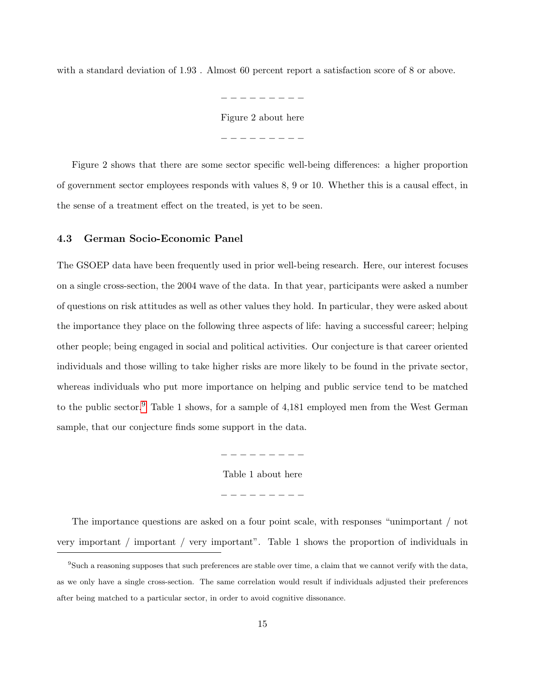with a standard deviation of 1.93 . Almost 60 percent report a satisfaction score of 8 or above.

− − − − − − − − − Figure 2 about here − − − − − − − − −

Figure 2 shows that there are some sector specific well-being differences: a higher proportion of government sector employees responds with values 8, 9 or 10. Whether this is a causal effect, in the sense of a treatment effect on the treated, is yet to be seen.

#### 4.3 German Socio-Economic Panel

The GSOEP data have been frequently used in prior well-being research. Here, our interest focuses on a single cross-section, the 2004 wave of the data. In that year, participants were asked a number of questions on risk attitudes as well as other values they hold. In particular, they were asked about the importance they place on the following three aspects of life: having a successful career; helping other people; being engaged in social and political activities. Our conjecture is that career oriented individuals and those willing to take higher risks are more likely to be found in the private sector, whereas individuals who put more importance on helping and public service tend to be matched to the public sector.<sup>[9](#page-15-0)</sup> Table 1 shows, for a sample of 4,181 employed men from the West German sample, that our conjecture finds some support in the data.

− − − − − − − − −

Table 1 about here

− − − − − − − − −

The importance questions are asked on a four point scale, with responses "unimportant / not very important / important / very important". Table 1 shows the proportion of individuals in

<span id="page-15-0"></span> $9$ Such a reasoning supposes that such preferences are stable over time, a claim that we cannot verify with the data, as we only have a single cross-section. The same correlation would result if individuals adjusted their preferences after being matched to a particular sector, in order to avoid cognitive dissonance.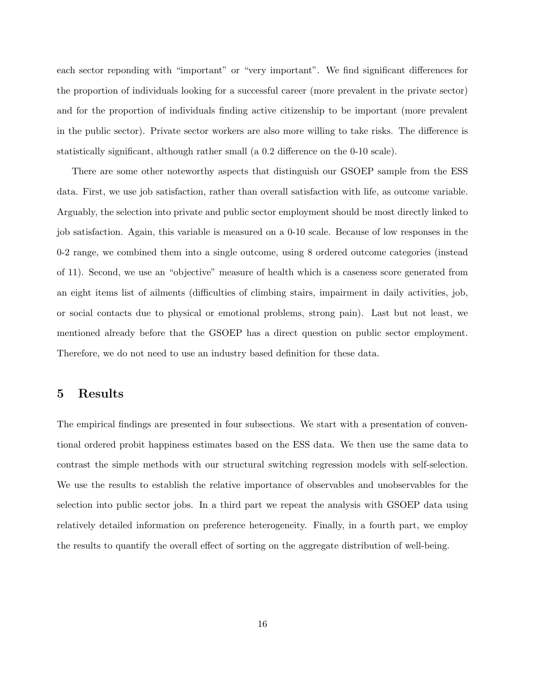each sector reponding with "important" or "very important". We find significant differences for the proportion of individuals looking for a successful career (more prevalent in the private sector) and for the proportion of individuals finding active citizenship to be important (more prevalent in the public sector). Private sector workers are also more willing to take risks. The difference is statistically significant, although rather small (a 0.2 difference on the 0-10 scale).

There are some other noteworthy aspects that distinguish our GSOEP sample from the ESS data. First, we use job satisfaction, rather than overall satisfaction with life, as outcome variable. Arguably, the selection into private and public sector employment should be most directly linked to job satisfaction. Again, this variable is measured on a 0-10 scale. Because of low responses in the 0-2 range, we combined them into a single outcome, using 8 ordered outcome categories (instead of 11). Second, we use an "objective" measure of health which is a caseness score generated from an eight items list of ailments (difficulties of climbing stairs, impairment in daily activities, job, or social contacts due to physical or emotional problems, strong pain). Last but not least, we mentioned already before that the GSOEP has a direct question on public sector employment. Therefore, we do not need to use an industry based definition for these data.

# 5 Results

The empirical findings are presented in four subsections. We start with a presentation of conventional ordered probit happiness estimates based on the ESS data. We then use the same data to contrast the simple methods with our structural switching regression models with self-selection. We use the results to establish the relative importance of observables and unobservables for the selection into public sector jobs. In a third part we repeat the analysis with GSOEP data using relatively detailed information on preference heterogeneity. Finally, in a fourth part, we employ the results to quantify the overall effect of sorting on the aggregate distribution of well-being.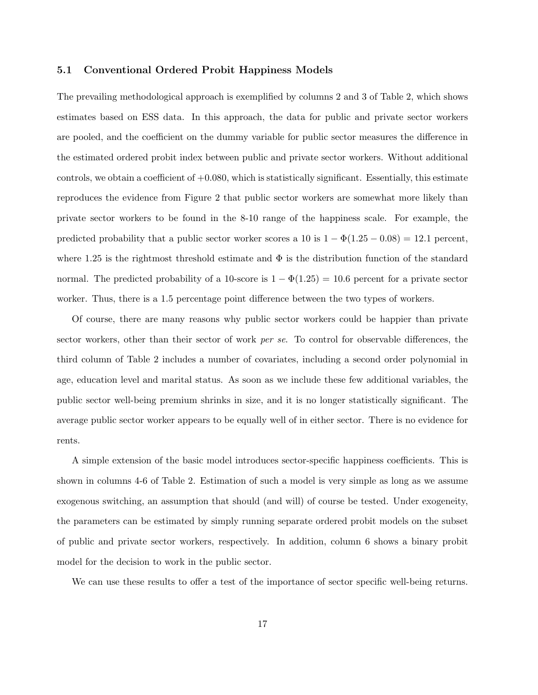#### 5.1 Conventional Ordered Probit Happiness Models

The prevailing methodological approach is exemplified by columns 2 and 3 of Table 2, which shows estimates based on ESS data. In this approach, the data for public and private sector workers are pooled, and the coefficient on the dummy variable for public sector measures the difference in the estimated ordered probit index between public and private sector workers. Without additional controls, we obtain a coefficient of +0.080, which is statistically significant. Essentially, this estimate reproduces the evidence from Figure 2 that public sector workers are somewhat more likely than private sector workers to be found in the 8-10 range of the happiness scale. For example, the predicted probability that a public sector worker scores a 10 is  $1 - \Phi(1.25 - 0.08) = 12.1$  percent, where 1.25 is the rightmost threshold estimate and  $\Phi$  is the distribution function of the standard normal. The predicted probability of a 10-score is  $1 - \Phi(1.25) = 10.6$  percent for a private sector worker. Thus, there is a 1.5 percentage point difference between the two types of workers.

Of course, there are many reasons why public sector workers could be happier than private sector workers, other than their sector of work *per se*. To control for observable differences, the third column of Table 2 includes a number of covariates, including a second order polynomial in age, education level and marital status. As soon as we include these few additional variables, the public sector well-being premium shrinks in size, and it is no longer statistically significant. The average public sector worker appears to be equally well of in either sector. There is no evidence for rents.

A simple extension of the basic model introduces sector-specific happiness coefficients. This is shown in columns 4-6 of Table 2. Estimation of such a model is very simple as long as we assume exogenous switching, an assumption that should (and will) of course be tested. Under exogeneity, the parameters can be estimated by simply running separate ordered probit models on the subset of public and private sector workers, respectively. In addition, column 6 shows a binary probit model for the decision to work in the public sector.

We can use these results to offer a test of the importance of sector specific well-being returns.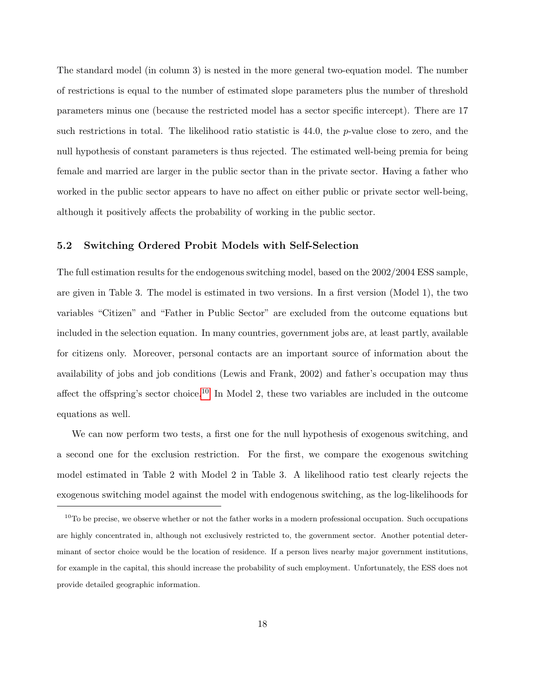The standard model (in column 3) is nested in the more general two-equation model. The number of restrictions is equal to the number of estimated slope parameters plus the number of threshold parameters minus one (because the restricted model has a sector specific intercept). There are 17 such restrictions in total. The likelihood ratio statistic is 44.0, the p-value close to zero, and the null hypothesis of constant parameters is thus rejected. The estimated well-being premia for being female and married are larger in the public sector than in the private sector. Having a father who worked in the public sector appears to have no affect on either public or private sector well-being, although it positively affects the probability of working in the public sector.

## 5.2 Switching Ordered Probit Models with Self-Selection

The full estimation results for the endogenous switching model, based on the 2002/2004 ESS sample, are given in Table 3. The model is estimated in two versions. In a first version (Model 1), the two variables "Citizen" and "Father in Public Sector" are excluded from the outcome equations but included in the selection equation. In many countries, government jobs are, at least partly, available for citizens only. Moreover, personal contacts are an important source of information about the availability of jobs and job conditions (Lewis and Frank, 2002) and father's occupation may thus affect the offspring's sector choice.<sup>[10](#page-18-0)</sup> In Model 2, these two variables are included in the outcome equations as well.

We can now perform two tests, a first one for the null hypothesis of exogenous switching, and a second one for the exclusion restriction. For the first, we compare the exogenous switching model estimated in Table 2 with Model 2 in Table 3. A likelihood ratio test clearly rejects the exogenous switching model against the model with endogenous switching, as the log-likelihoods for

<span id="page-18-0"></span> $10$ To be precise, we observe whether or not the father works in a modern professional occupation. Such occupations are highly concentrated in, although not exclusively restricted to, the government sector. Another potential determinant of sector choice would be the location of residence. If a person lives nearby major government institutions, for example in the capital, this should increase the probability of such employment. Unfortunately, the ESS does not provide detailed geographic information.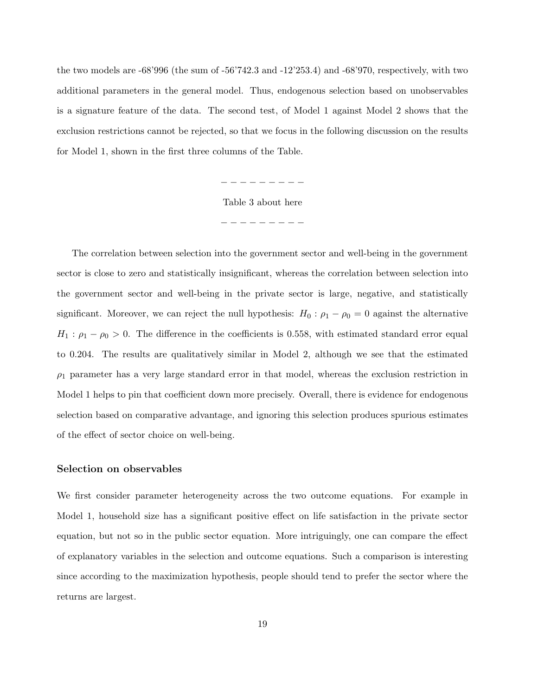the two models are -68'996 (the sum of -56'742.3 and -12'253.4) and -68'970, respectively, with two additional parameters in the general model. Thus, endogenous selection based on unobservables is a signature feature of the data. The second test, of Model 1 against Model 2 shows that the exclusion restrictions cannot be rejected, so that we focus in the following discussion on the results for Model 1, shown in the first three columns of the Table.

> − − − − − − − − − Table 3 about here − − − − − − − − −

The correlation between selection into the government sector and well-being in the government sector is close to zero and statistically insignificant, whereas the correlation between selection into the government sector and well-being in the private sector is large, negative, and statistically significant. Moreover, we can reject the null hypothesis:  $H_0: \rho_1 - \rho_0 = 0$  against the alternative  $H_1$ :  $\rho_1 - \rho_0 > 0$ . The difference in the coefficients is 0.558, with estimated standard error equal to 0.204. The results are qualitatively similar in Model 2, although we see that the estimated  $\rho_1$  parameter has a very large standard error in that model, whereas the exclusion restriction in Model 1 helps to pin that coefficient down more precisely. Overall, there is evidence for endogenous selection based on comparative advantage, and ignoring this selection produces spurious estimates of the effect of sector choice on well-being.

#### Selection on observables

We first consider parameter heterogeneity across the two outcome equations. For example in Model 1, household size has a significant positive effect on life satisfaction in the private sector equation, but not so in the public sector equation. More intriguingly, one can compare the effect of explanatory variables in the selection and outcome equations. Such a comparison is interesting since according to the maximization hypothesis, people should tend to prefer the sector where the returns are largest.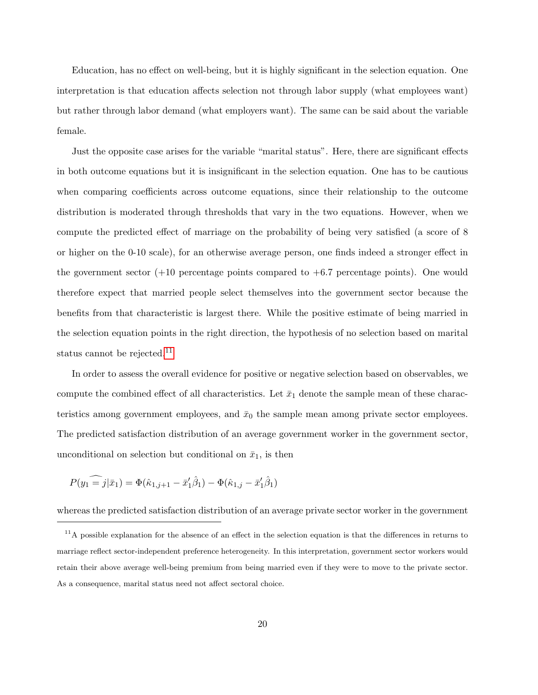Education, has no effect on well-being, but it is highly significant in the selection equation. One interpretation is that education affects selection not through labor supply (what employees want) but rather through labor demand (what employers want). The same can be said about the variable female.

Just the opposite case arises for the variable "marital status". Here, there are significant effects in both outcome equations but it is insignificant in the selection equation. One has to be cautious when comparing coefficients across outcome equations, since their relationship to the outcome distribution is moderated through thresholds that vary in the two equations. However, when we compute the predicted effect of marriage on the probability of being very satisfied (a score of 8 or higher on the 0-10 scale), for an otherwise average person, one finds indeed a stronger effect in the government sector  $(+10$  percentage points compared to  $+6.7$  percentage points). One would therefore expect that married people select themselves into the government sector because the benefits from that characteristic is largest there. While the positive estimate of being married in the selection equation points in the right direction, the hypothesis of no selection based on marital status cannot be rejected.<sup>[11](#page-20-0)</sup>

In order to assess the overall evidence for positive or negative selection based on observables, we compute the combined effect of all characteristics. Let  $\bar{x}_1$  denote the sample mean of these characteristics among government employees, and  $\bar{x}_0$  the sample mean among private sector employees. The predicted satisfaction distribution of an average government worker in the government sector, unconditional on selection but conditional on  $\bar{x}_1$ , is then

$$
P(y_1 = j|\bar{x}_1) = \Phi(\hat{\kappa}_{1,j+1} - \bar{x}'_1 \hat{\beta}_1) - \Phi(\hat{\kappa}_{1,j} - \bar{x}'_1 \hat{\beta}_1)
$$

whereas the predicted satisfaction distribution of an average private sector worker in the government

<span id="page-20-0"></span> $11$ A possible explanation for the absence of an effect in the selection equation is that the differences in returns to marriage reflect sector-independent preference heterogeneity. In this interpretation, government sector workers would retain their above average well-being premium from being married even if they were to move to the private sector. As a consequence, marital status need not affect sectoral choice.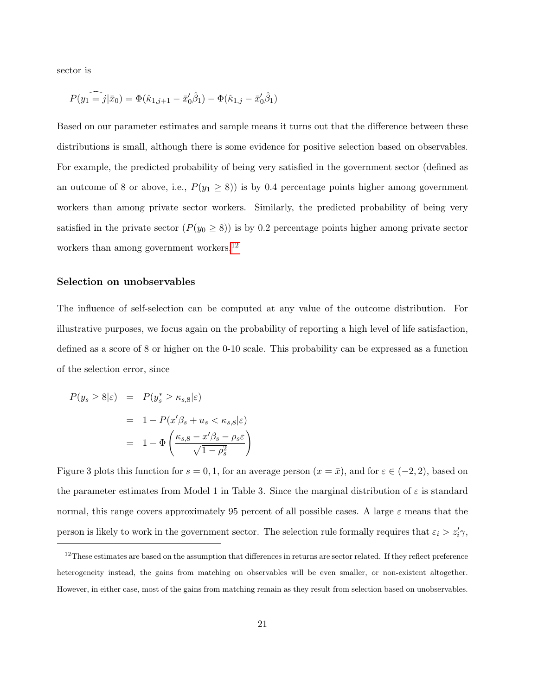sector is

$$
P(y_1 = j | \bar{x}_0) = \Phi(\hat{\kappa}_{1,j+1} - \bar{x}'_0 \hat{\beta}_1) - \Phi(\hat{\kappa}_{1,j} - \bar{x}'_0 \hat{\beta}_1)
$$

Based on our parameter estimates and sample means it turns out that the difference between these distributions is small, although there is some evidence for positive selection based on observables. For example, the predicted probability of being very satisfied in the government sector (defined as an outcome of 8 or above, i.e.,  $P(y_1 \ge 8)$ ) is by 0.4 percentage points higher among government workers than among private sector workers. Similarly, the predicted probability of being very satisfied in the private sector  $(P(y_0 \ge 8))$  is by 0.2 percentage points higher among private sector workers than among government workers.<sup>[12](#page-21-0)</sup>

#### Selection on unobservables

The influence of self-selection can be computed at any value of the outcome distribution. For illustrative purposes, we focus again on the probability of reporting a high level of life satisfaction, defined as a score of 8 or higher on the 0-10 scale. This probability can be expressed as a function of the selection error, since

$$
P(y_s \ge 8|\varepsilon) = P(y_s^* \ge \kappa_{s,8}|\varepsilon)
$$
  
= 1 - P(x'\beta\_s + u\_s < \kappa\_{s,8}|\varepsilon)  
= 1 - \Phi\left(\frac{\kappa\_{s,8} - x'\beta\_s - \rho\_s \varepsilon}{\sqrt{1 - \rho\_s^2}}\right)

Figure 3 plots this function for  $s = 0, 1$ , for an average person  $(x = \bar{x})$ , and for  $\varepsilon \in (-2, 2)$ , based on the parameter estimates from Model 1 in Table 3. Since the marginal distribution of  $\varepsilon$  is standard normal, this range covers approximately 95 percent of all possible cases. A large  $\varepsilon$  means that the person is likely to work in the government sector. The selection rule formally requires that  $\varepsilon_i > z_i' \gamma$ ,

<span id="page-21-0"></span> $12$ These estimates are based on the assumption that differences in returns are sector related. If they reflect preference heterogeneity instead, the gains from matching on observables will be even smaller, or non-existent altogether. However, in either case, most of the gains from matching remain as they result from selection based on unobservables.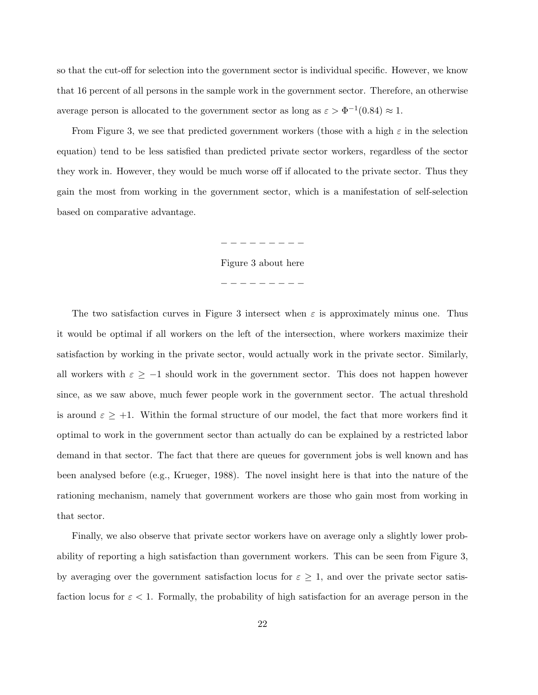so that the cut-off for selection into the government sector is individual specific. However, we know that 16 percent of all persons in the sample work in the government sector. Therefore, an otherwise average person is allocated to the government sector as long as  $\varepsilon > \Phi^{-1}(0.84) \approx 1$ .

From Figure 3, we see that predicted government workers (those with a high  $\varepsilon$  in the selection equation) tend to be less satisfied than predicted private sector workers, regardless of the sector they work in. However, they would be much worse off if allocated to the private sector. Thus they gain the most from working in the government sector, which is a manifestation of self-selection based on comparative advantage.

− − − − − − − − −

Figure 3 about here

− − − − − − − − −

The two satisfaction curves in Figure 3 intersect when  $\varepsilon$  is approximately minus one. Thus it would be optimal if all workers on the left of the intersection, where workers maximize their satisfaction by working in the private sector, would actually work in the private sector. Similarly, all workers with  $\varepsilon \geq -1$  should work in the government sector. This does not happen however since, as we saw above, much fewer people work in the government sector. The actual threshold is around  $\varepsilon \geq +1$ . Within the formal structure of our model, the fact that more workers find it optimal to work in the government sector than actually do can be explained by a restricted labor demand in that sector. The fact that there are queues for government jobs is well known and has been analysed before (e.g., Krueger, 1988). The novel insight here is that into the nature of the rationing mechanism, namely that government workers are those who gain most from working in that sector.

Finally, we also observe that private sector workers have on average only a slightly lower probability of reporting a high satisfaction than government workers. This can be seen from Figure 3, by averaging over the government satisfaction locus for  $\varepsilon \geq 1$ , and over the private sector satisfaction locus for  $\varepsilon < 1$ . Formally, the probability of high satisfaction for an average person in the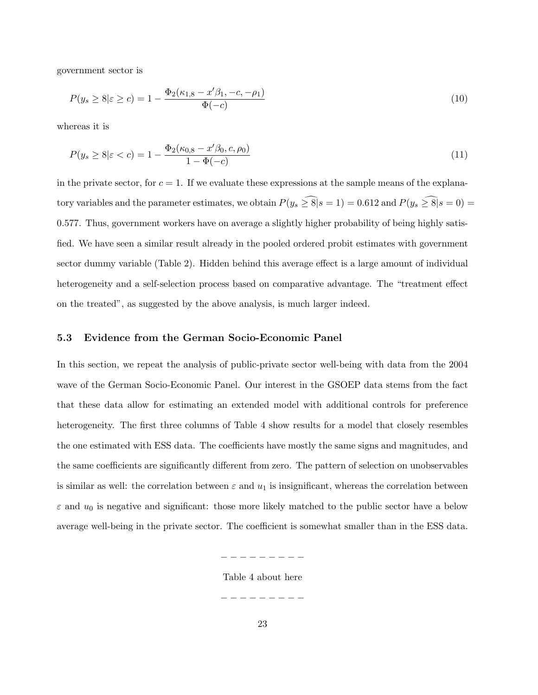government sector is

$$
P(y_s \ge 8|\varepsilon \ge c) = 1 - \frac{\Phi_2(\kappa_{1,8} - x'\beta_1, -c, -\rho_1)}{\Phi(-c)}
$$
\n
$$
(10)
$$

whereas it is

$$
P(y_s \ge 8|\varepsilon < c) = 1 - \frac{\Phi_2(\kappa_{0,8} - x'\beta_0, c, \rho_0)}{1 - \Phi(-c)}
$$
\n(11)

in the private sector, for  $c = 1$ . If we evaluate these expressions at the sample means of the explanatory variables and the parameter estimates, we obtain  $P(y_s \geq \widehat{8}|s = 1) = 0.612$  and  $P(y_s \geq \widehat{8}|s = 0) =$ 0.577. Thus, government workers have on average a slightly higher probability of being highly satisfied. We have seen a similar result already in the pooled ordered probit estimates with government sector dummy variable (Table 2). Hidden behind this average effect is a large amount of individual heterogeneity and a self-selection process based on comparative advantage. The "treatment effect on the treated", as suggested by the above analysis, is much larger indeed.

#### 5.3 Evidence from the German Socio-Economic Panel

In this section, we repeat the analysis of public-private sector well-being with data from the 2004 wave of the German Socio-Economic Panel. Our interest in the GSOEP data stems from the fact that these data allow for estimating an extended model with additional controls for preference heterogeneity. The first three columns of Table 4 show results for a model that closely resembles the one estimated with ESS data. The coefficients have mostly the same signs and magnitudes, and the same coefficients are significantly different from zero. The pattern of selection on unobservables is similar as well: the correlation between  $\varepsilon$  and  $u_1$  is insignificant, whereas the correlation between  $\varepsilon$  and  $u_0$  is negative and significant: those more likely matched to the public sector have a below average well-being in the private sector. The coefficient is somewhat smaller than in the ESS data.

Table 4 about here

− − − − − − − − −

− − − − − − − − −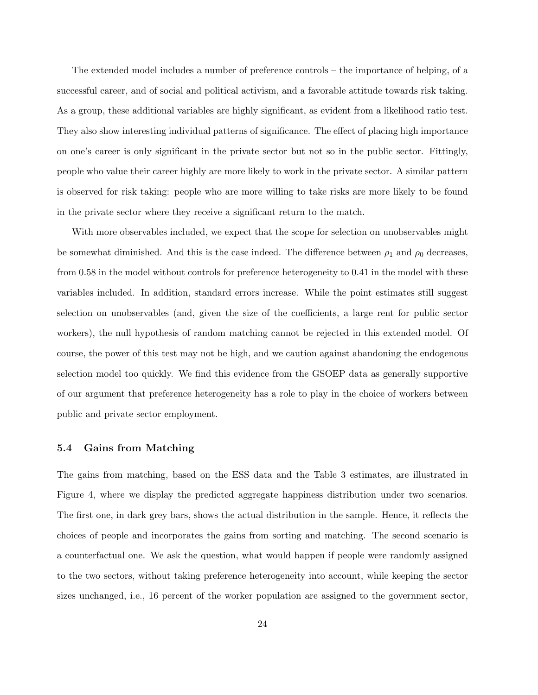The extended model includes a number of preference controls – the importance of helping, of a successful career, and of social and political activism, and a favorable attitude towards risk taking. As a group, these additional variables are highly significant, as evident from a likelihood ratio test. They also show interesting individual patterns of significance. The effect of placing high importance on one's career is only significant in the private sector but not so in the public sector. Fittingly, people who value their career highly are more likely to work in the private sector. A similar pattern is observed for risk taking: people who are more willing to take risks are more likely to be found in the private sector where they receive a significant return to the match.

With more observables included, we expect that the scope for selection on unobservables might be somewhat diminished. And this is the case indeed. The difference between  $\rho_1$  and  $\rho_0$  decreases, from 0.58 in the model without controls for preference heterogeneity to 0.41 in the model with these variables included. In addition, standard errors increase. While the point estimates still suggest selection on unobservables (and, given the size of the coefficients, a large rent for public sector workers), the null hypothesis of random matching cannot be rejected in this extended model. Of course, the power of this test may not be high, and we caution against abandoning the endogenous selection model too quickly. We find this evidence from the GSOEP data as generally supportive of our argument that preference heterogeneity has a role to play in the choice of workers between public and private sector employment.

## 5.4 Gains from Matching

The gains from matching, based on the ESS data and the Table 3 estimates, are illustrated in Figure 4, where we display the predicted aggregate happiness distribution under two scenarios. The first one, in dark grey bars, shows the actual distribution in the sample. Hence, it reflects the choices of people and incorporates the gains from sorting and matching. The second scenario is a counterfactual one. We ask the question, what would happen if people were randomly assigned to the two sectors, without taking preference heterogeneity into account, while keeping the sector sizes unchanged, i.e., 16 percent of the worker population are assigned to the government sector,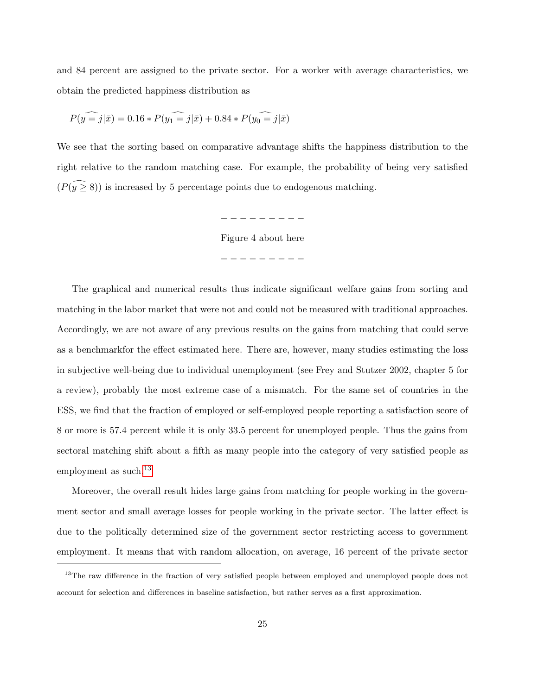and 84 percent are assigned to the private sector. For a worker with average characteristics, we obtain the predicted happiness distribution as

$$
P(\widehat{y=j}|\bar x)=0.16*P(\widehat{y_1=j}|\bar x)+0.84*P(\widehat{y_0=j}|\bar x)
$$

We see that the sorting based on comparative advantage shifts the happiness distribution to the right relative to the random matching case. For example, the probability of being very satisfied  $(P(\overline{y}\geq 8))$  is increased by 5 percentage points due to endogenous matching.

− − − − − − − − −

Figure 4 about here

− − − − − − − − −

The graphical and numerical results thus indicate significant welfare gains from sorting and matching in the labor market that were not and could not be measured with traditional approaches. Accordingly, we are not aware of any previous results on the gains from matching that could serve as a benchmarkfor the effect estimated here. There are, however, many studies estimating the loss in subjective well-being due to individual unemployment (see Frey and Stutzer 2002, chapter 5 for a review), probably the most extreme case of a mismatch. For the same set of countries in the ESS, we find that the fraction of employed or self-employed people reporting a satisfaction score of 8 or more is 57.4 percent while it is only 33.5 percent for unemployed people. Thus the gains from sectoral matching shift about a fifth as many people into the category of very satisfied people as employment as such.<sup>[13](#page-25-0)</sup>

Moreover, the overall result hides large gains from matching for people working in the government sector and small average losses for people working in the private sector. The latter effect is due to the politically determined size of the government sector restricting access to government employment. It means that with random allocation, on average, 16 percent of the private sector

<span id="page-25-0"></span><sup>&</sup>lt;sup>13</sup>The raw difference in the fraction of very satisfied people between employed and unemployed people does not account for selection and differences in baseline satisfaction, but rather serves as a first approximation.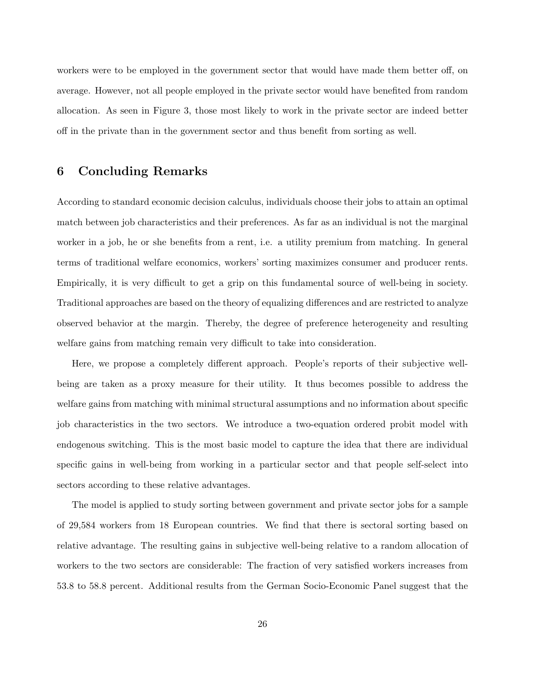workers were to be employed in the government sector that would have made them better off, on average. However, not all people employed in the private sector would have benefited from random allocation. As seen in Figure 3, those most likely to work in the private sector are indeed better off in the private than in the government sector and thus benefit from sorting as well.

# 6 Concluding Remarks

According to standard economic decision calculus, individuals choose their jobs to attain an optimal match between job characteristics and their preferences. As far as an individual is not the marginal worker in a job, he or she benefits from a rent, i.e. a utility premium from matching. In general terms of traditional welfare economics, workers' sorting maximizes consumer and producer rents. Empirically, it is very difficult to get a grip on this fundamental source of well-being in society. Traditional approaches are based on the theory of equalizing differences and are restricted to analyze observed behavior at the margin. Thereby, the degree of preference heterogeneity and resulting welfare gains from matching remain very difficult to take into consideration.

Here, we propose a completely different approach. People's reports of their subjective wellbeing are taken as a proxy measure for their utility. It thus becomes possible to address the welfare gains from matching with minimal structural assumptions and no information about specific job characteristics in the two sectors. We introduce a two-equation ordered probit model with endogenous switching. This is the most basic model to capture the idea that there are individual specific gains in well-being from working in a particular sector and that people self-select into sectors according to these relative advantages.

The model is applied to study sorting between government and private sector jobs for a sample of 29,584 workers from 18 European countries. We find that there is sectoral sorting based on relative advantage. The resulting gains in subjective well-being relative to a random allocation of workers to the two sectors are considerable: The fraction of very satisfied workers increases from 53.8 to 58.8 percent. Additional results from the German Socio-Economic Panel suggest that the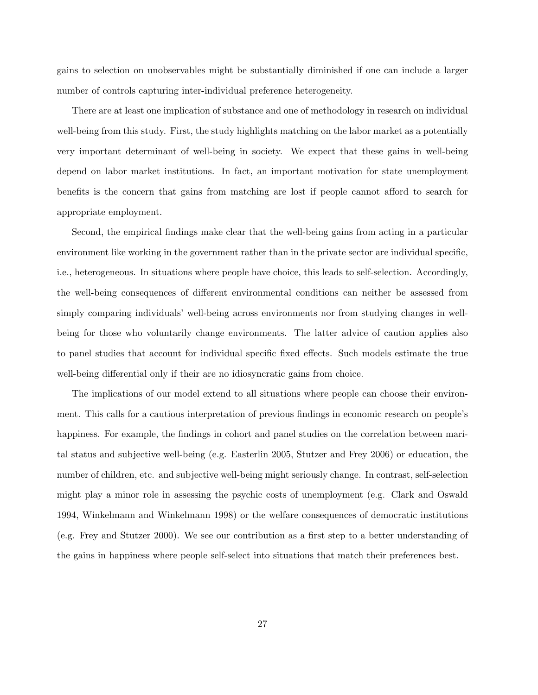gains to selection on unobservables might be substantially diminished if one can include a larger number of controls capturing inter-individual preference heterogeneity.

There are at least one implication of substance and one of methodology in research on individual well-being from this study. First, the study highlights matching on the labor market as a potentially very important determinant of well-being in society. We expect that these gains in well-being depend on labor market institutions. In fact, an important motivation for state unemployment benefits is the concern that gains from matching are lost if people cannot afford to search for appropriate employment.

Second, the empirical findings make clear that the well-being gains from acting in a particular environment like working in the government rather than in the private sector are individual specific, i.e., heterogeneous. In situations where people have choice, this leads to self-selection. Accordingly, the well-being consequences of different environmental conditions can neither be assessed from simply comparing individuals' well-being across environments nor from studying changes in wellbeing for those who voluntarily change environments. The latter advice of caution applies also to panel studies that account for individual specific fixed effects. Such models estimate the true well-being differential only if their are no idiosyncratic gains from choice.

The implications of our model extend to all situations where people can choose their environment. This calls for a cautious interpretation of previous findings in economic research on people's happiness. For example, the findings in cohort and panel studies on the correlation between marital status and subjective well-being (e.g. Easterlin 2005, Stutzer and Frey 2006) or education, the number of children, etc. and subjective well-being might seriously change. In contrast, self-selection might play a minor role in assessing the psychic costs of unemployment (e.g. Clark and Oswald 1994, Winkelmann and Winkelmann 1998) or the welfare consequences of democratic institutions (e.g. Frey and Stutzer 2000). We see our contribution as a first step to a better understanding of the gains in happiness where people self-select into situations that match their preferences best.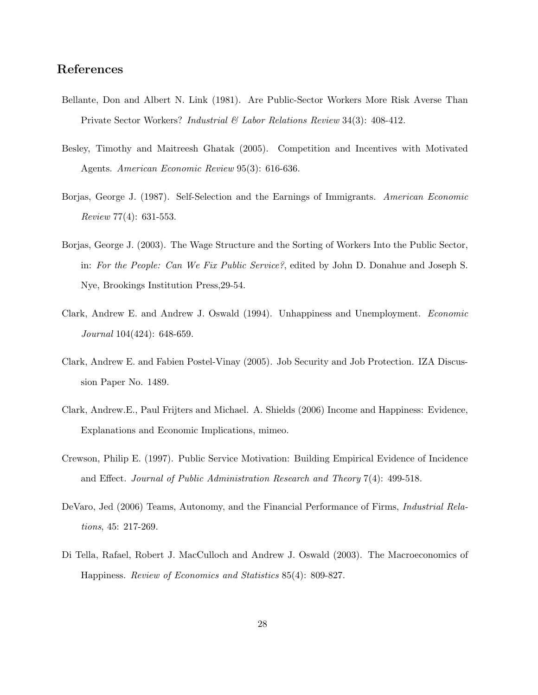# References

- Bellante, Don and Albert N. Link (1981). Are Public-Sector Workers More Risk Averse Than Private Sector Workers? Industrial & Labor Relations Review 34(3): 408-412.
- Besley, Timothy and Maitreesh Ghatak (2005). Competition and Incentives with Motivated Agents. American Economic Review 95(3): 616-636.
- Borjas, George J. (1987). Self-Selection and the Earnings of Immigrants. American Economic Review 77(4): 631-553.
- Borjas, George J. (2003). The Wage Structure and the Sorting of Workers Into the Public Sector, in: For the People: Can We Fix Public Service?, edited by John D. Donahue and Joseph S. Nye, Brookings Institution Press,29-54.
- Clark, Andrew E. and Andrew J. Oswald (1994). Unhappiness and Unemployment. Economic Journal 104(424): 648-659.
- Clark, Andrew E. and Fabien Postel-Vinay (2005). Job Security and Job Protection. IZA Discussion Paper No. 1489.
- Clark, Andrew.E., Paul Frijters and Michael. A. Shields (2006) Income and Happiness: Evidence, Explanations and Economic Implications, mimeo.
- Crewson, Philip E. (1997). Public Service Motivation: Building Empirical Evidence of Incidence and Effect. Journal of Public Administration Research and Theory 7(4): 499-518.
- DeVaro, Jed (2006) Teams, Autonomy, and the Financial Performance of Firms, *Industrial Rela*tions, 45: 217-269.
- Di Tella, Rafael, Robert J. MacCulloch and Andrew J. Oswald (2003). The Macroeconomics of Happiness. Review of Economics and Statistics 85(4): 809-827.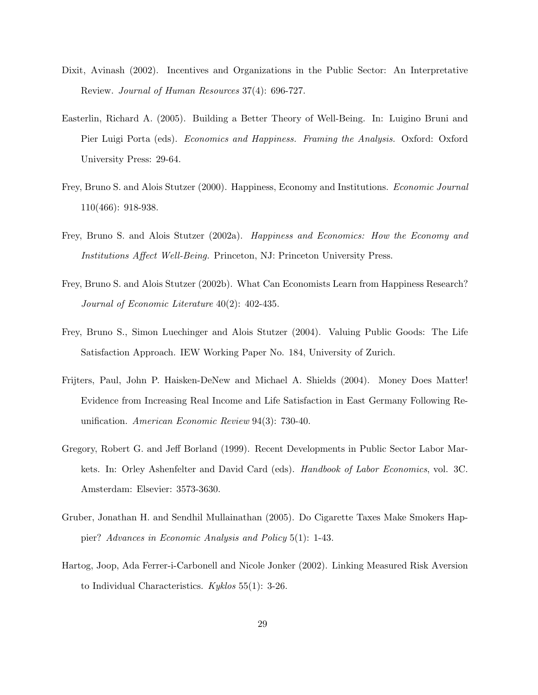- Dixit, Avinash (2002). Incentives and Organizations in the Public Sector: An Interpretative Review. Journal of Human Resources 37(4): 696-727.
- Easterlin, Richard A. (2005). Building a Better Theory of Well-Being. In: Luigino Bruni and Pier Luigi Porta (eds). *Economics and Happiness. Framing the Analysis*. Oxford: Oxford University Press: 29-64.
- Frey, Bruno S. and Alois Stutzer (2000). Happiness, Economy and Institutions. Economic Journal 110(466): 918-938.
- Frey, Bruno S. and Alois Stutzer (2002a). Happiness and Economics: How the Economy and Institutions Affect Well-Being. Princeton, NJ: Princeton University Press.
- Frey, Bruno S. and Alois Stutzer (2002b). What Can Economists Learn from Happiness Research? Journal of Economic Literature 40(2): 402-435.
- Frey, Bruno S., Simon Luechinger and Alois Stutzer (2004). Valuing Public Goods: The Life Satisfaction Approach. IEW Working Paper No. 184, University of Zurich.
- Frijters, Paul, John P. Haisken-DeNew and Michael A. Shields (2004). Money Does Matter! Evidence from Increasing Real Income and Life Satisfaction in East Germany Following Reunification. American Economic Review 94(3): 730-40.
- Gregory, Robert G. and Jeff Borland (1999). Recent Developments in Public Sector Labor Markets. In: Orley Ashenfelter and David Card (eds). Handbook of Labor Economics, vol. 3C. Amsterdam: Elsevier: 3573-3630.
- Gruber, Jonathan H. and Sendhil Mullainathan (2005). Do Cigarette Taxes Make Smokers Happier? Advances in Economic Analysis and Policy 5(1): 1-43.
- Hartog, Joop, Ada Ferrer-i-Carbonell and Nicole Jonker (2002). Linking Measured Risk Aversion to Individual Characteristics.  $Kyklos 55(1): 3-26$ .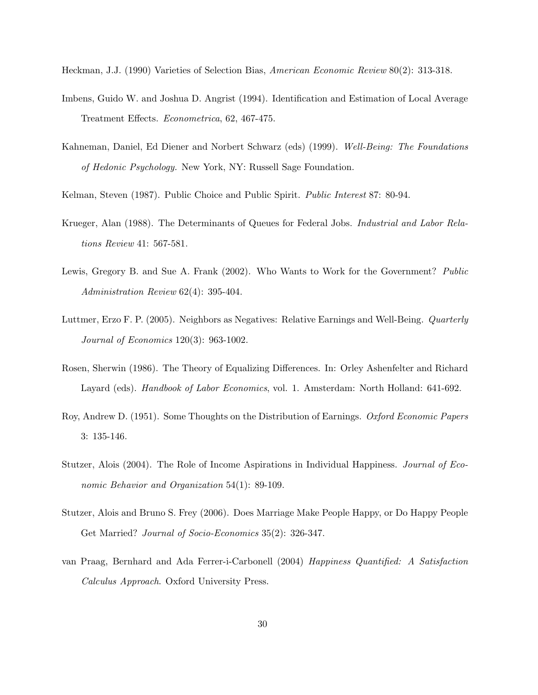Heckman, J.J. (1990) Varieties of Selection Bias, American Economic Review 80(2): 313-318.

- Imbens, Guido W. and Joshua D. Angrist (1994). Identification and Estimation of Local Average Treatment Effects. Econometrica, 62, 467-475.
- Kahneman, Daniel, Ed Diener and Norbert Schwarz (eds) (1999). Well-Being: The Foundations of Hedonic Psychology. New York, NY: Russell Sage Foundation.

Kelman, Steven (1987). Public Choice and Public Spirit. Public Interest 87: 80-94.

- Krueger, Alan (1988). The Determinants of Queues for Federal Jobs. Industrial and Labor Relations Review 41: 567-581.
- Lewis, Gregory B. and Sue A. Frank (2002). Who Wants to Work for the Government? Public Administration Review 62(4): 395-404.
- Luttmer, Erzo F. P. (2005). Neighbors as Negatives: Relative Earnings and Well-Being. Quarterly Journal of Economics 120(3): 963-1002.
- Rosen, Sherwin (1986). The Theory of Equalizing Differences. In: Orley Ashenfelter and Richard Layard (eds). *Handbook of Labor Economics*, vol. 1. Amsterdam: North Holland: 641-692.
- Roy, Andrew D. (1951). Some Thoughts on the Distribution of Earnings. Oxford Economic Papers 3: 135-146.
- Stutzer, Alois (2004). The Role of Income Aspirations in Individual Happiness. *Journal of Eco*nomic Behavior and Organization 54(1): 89-109.
- Stutzer, Alois and Bruno S. Frey (2006). Does Marriage Make People Happy, or Do Happy People Get Married? *Journal of Socio-Economics* 35(2): 326-347.
- van Praag, Bernhard and Ada Ferrer-i-Carbonell (2004) Happiness Quantified: A Satisfaction Calculus Approach. Oxford University Press.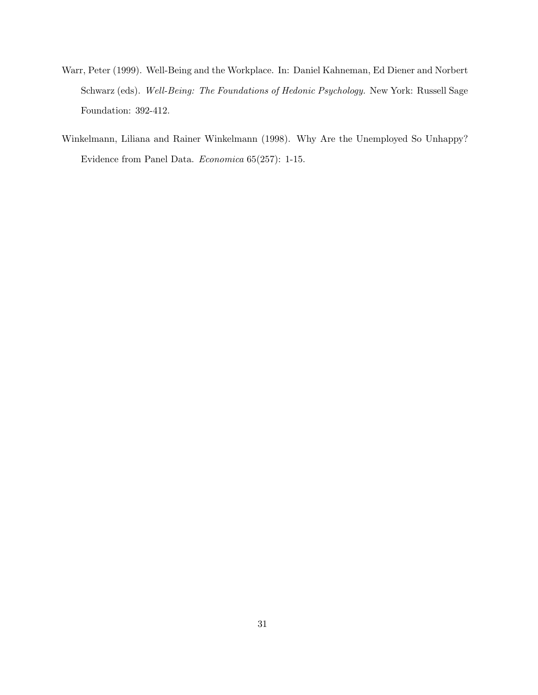- Warr, Peter (1999). Well-Being and the Workplace. In: Daniel Kahneman, Ed Diener and Norbert Schwarz (eds). Well-Being: The Foundations of Hedonic Psychology. New York: Russell Sage Foundation: 392-412.
- Winkelmann, Liliana and Rainer Winkelmann (1998). Why Are the Unemployed So Unhappy? Evidence from Panel Data. Economica 65(257): 1-15.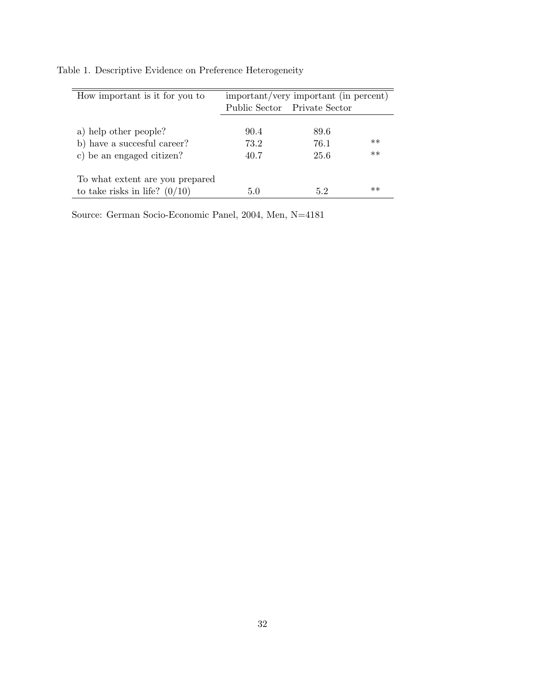| How important is it for you to  | important/very important (in percent) |                              |      |  |
|---------------------------------|---------------------------------------|------------------------------|------|--|
|                                 |                                       | Public Sector Private Sector |      |  |
|                                 |                                       |                              |      |  |
| a) help other people?           | 90.4                                  | 89.6                         |      |  |
| b) have a succesful career?     | 73.2                                  | 76.1                         | $**$ |  |
| c) be an engaged citizen?       | 40.7                                  | 25.6                         | $**$ |  |
|                                 |                                       |                              |      |  |
| To what extent are you prepared |                                       |                              |      |  |
| to take risks in life? $(0/10)$ | 5.0                                   | 52                           | $**$ |  |

Table 1. Descriptive Evidence on Preference Heterogeneity

Source: German Socio-Economic Panel, 2004, Men, N=4181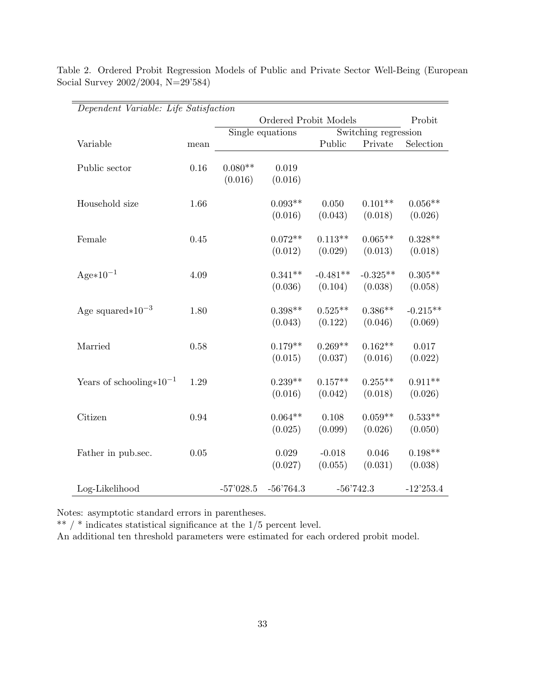| Dependent Variable: Life Satisfaction |      |                       |             |                      |             |             |
|---------------------------------------|------|-----------------------|-------------|----------------------|-------------|-------------|
|                                       |      | Ordered Probit Models |             |                      | Probit      |             |
|                                       |      | Single equations      |             | Switching regression |             |             |
| Variable                              | mean |                       |             | Public               | Private     | Selection   |
| Public sector                         | 0.16 | $0.080**$             | 0.019       |                      |             |             |
|                                       |      | (0.016)               | (0.016)     |                      |             |             |
| Household size                        | 1.66 |                       | $0.093**$   | 0.050                | $0.101**$   | $0.056**$   |
|                                       |      |                       |             |                      |             |             |
|                                       |      |                       | (0.016)     | (0.043)              | (0.018)     | (0.026)     |
| Female                                | 0.45 |                       | $0.072**$   | $0.113**$            | $0.065**$   | $0.328**$   |
|                                       |      |                       | (0.012)     | (0.029)              | (0.013)     | (0.018)     |
| $Age*10^{-1}$                         | 4.09 |                       | $0.341**$   | $-0.481**$           | $-0.325**$  | $0.305**$   |
|                                       |      |                       | (0.036)     | (0.104)              | (0.038)     | (0.058)     |
|                                       |      |                       |             |                      |             |             |
| Age squared $*10^{-3}$                | 1.80 |                       | $0.398**$   | $0.525**$            | $0.386**$   | $-0.215**$  |
|                                       |      |                       | (0.043)     | (0.122)              | (0.046)     | (0.069)     |
| Married                               | 0.58 |                       | $0.179**$   | $0.269**$            | $0.162**$   | 0.017       |
|                                       |      |                       | (0.015)     | (0.037)              | (0.016)     | (0.022)     |
|                                       |      |                       |             |                      |             |             |
| Years of schooling $*10^{-1}$         | 1.29 |                       | $0.239**$   | $0.157**$            | $0.255**$   | $0.911**$   |
|                                       |      |                       | (0.016)     | (0.042)              | (0.018)     | (0.026)     |
| Citizen                               | 0.94 |                       | $0.064**$   | 0.108                | $0.059**$   | $0.533**$   |
|                                       |      |                       | (0.025)     | (0.099)              | (0.026)     | (0.050)     |
|                                       |      |                       |             |                      |             |             |
| Father in pub.sec.                    | 0.05 |                       | 0.029       | $-0.018$             | 0.046       | $0.198**$   |
|                                       |      |                       | (0.027)     | (0.055)              | (0.031)     | (0.038)     |
| Log-Likelihood                        |      | $-57'028.5$           | $-56'764.3$ |                      | $-56'742.3$ | $-12'253.4$ |

Table 2. Ordered Probit Regression Models of Public and Private Sector Well-Being (European Social Survey 2002/2004, N=29'584)

Notes: asymptotic standard errors in parentheses.

 $**$  /  $*$  indicates statistical significance at the  $1/5$  percent level.

An additional ten threshold parameters were estimated for each ordered probit model.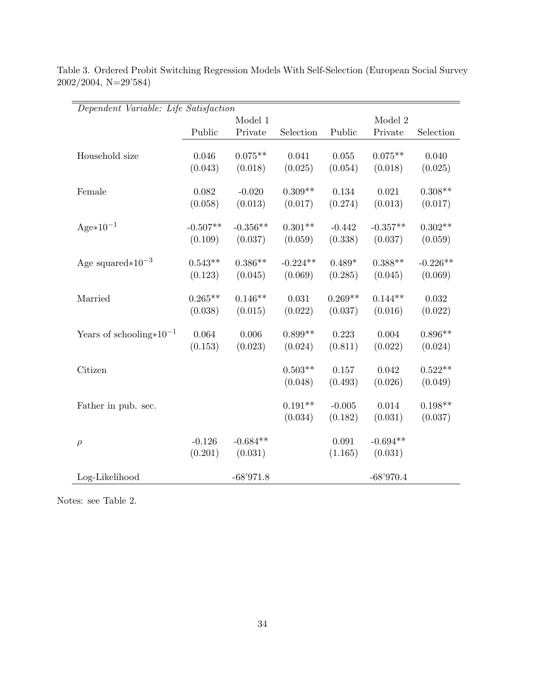| Dependent Variable: Life Satisfaction |            |             |            |           |             |            |
|---------------------------------------|------------|-------------|------------|-----------|-------------|------------|
|                                       |            | Model 1     |            |           | Model 2     |            |
|                                       | Public     | Private     | Selection  | Public    | Private     | Selection  |
|                                       |            |             |            |           |             |            |
| Household size                        | 0.046      | $0.075**$   | 0.041      | 0.055     | $0.075**$   | 0.040      |
|                                       | (0.043)    | (0.018)     | (0.025)    | (0.054)   | (0.018)     | (0.025)    |
| Female                                | 0.082      | $-0.020$    | $0.309**$  | 0.134     | 0.021       | $0.308**$  |
|                                       | (0.058)    | (0.013)     | (0.017)    | (0.274)   | (0.013)     | (0.017)    |
|                                       |            |             |            |           |             |            |
| $Age*10^{-1}$                         | $-0.507**$ | $-0.356**$  | $0.301**$  | $-0.442$  | $-0.357**$  | $0.302**$  |
|                                       | (0.109)    | (0.037)     | (0.059)    | (0.338)   | (0.037)     | (0.059)    |
| Age squared $*10^{-3}$                | $0.543**$  | $0.386**$   | $-0.224**$ | $0.489*$  | $0.388**$   | $-0.226**$ |
|                                       |            |             |            |           |             |            |
|                                       | (0.123)    | (0.045)     | (0.069)    | (0.285)   | (0.045)     | (0.069)    |
| Married                               | $0.265**$  | $0.146**$   | 0.031      | $0.269**$ | $0.144**$   | 0.032      |
|                                       | (0.038)    | (0.015)     | (0.022)    | (0.037)   | (0.016)     | (0.022)    |
|                                       |            |             |            |           |             |            |
| Years of schooling $*10^{-1}$         | 0.064      | 0.006       | $0.899**$  | 0.223     | 0.004       | $0.896**$  |
|                                       | (0.153)    | (0.023)     | (0.024)    | (0.811)   | (0.022)     | (0.024)    |
| Citizen                               |            |             | $0.503**$  | 0.157     | 0.042       | $0.522**$  |
|                                       |            |             | (0.048)    | (0.493)   | (0.026)     | (0.049)    |
|                                       |            |             |            |           |             |            |
| Father in pub. sec.                   |            |             | $0.191**$  | $-0.005$  | 0.014       | $0.198**$  |
|                                       |            |             | (0.034)    | (0.182)   | (0.031)     | (0.037)    |
|                                       |            |             |            |           |             |            |
| $\rho$                                | $-0.126$   | $-0.684**$  |            | 0.091     | $-0.694**$  |            |
|                                       | (0.201)    | (0.031)     |            | (1.165)   | (0.031)     |            |
| Log-Likelihood                        |            | $-68'971.8$ |            |           | $-68'970.4$ |            |

Table 3. Ordered Probit Switching Regression Models With Self-Selection (European Social Survey 2002/2004, N=29'584)

Notes: see Table 2.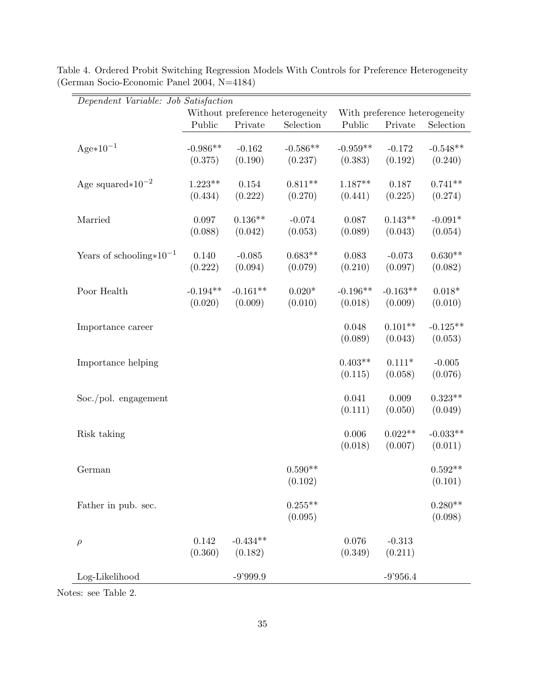| Dependent Variable: Job Satisfaction |                                  |            |                               |            |            |            |
|--------------------------------------|----------------------------------|------------|-------------------------------|------------|------------|------------|
|                                      | Without preference heterogeneity |            | With preference heterogeneity |            |            |            |
|                                      | Public                           | Private    | Selection                     | Public     | Private    | Selection  |
| $Age*10^{-1}$                        | $-0.986**$                       | $-0.162$   | $-0.586**$                    | $-0.959**$ | $-0.172$   | $-0.548**$ |
|                                      | (0.375)                          | (0.190)    | (0.237)                       | (0.383)    | (0.192)    | (0.240)    |
|                                      |                                  |            |                               |            |            |            |
| Age squared $*10^{-2}$               | $1.223**$                        | 0.154      | $0.811**$                     | $1.187**$  | 0.187      | $0.741**$  |
|                                      | (0.434)                          | (0.222)    | (0.270)                       | (0.441)    | (0.225)    | (0.274)    |
| Married                              | 0.097                            | $0.136**$  | $-0.074$                      | 0.087      | $0.143**$  | $-0.091*$  |
|                                      | (0.088)                          | (0.042)    | (0.053)                       | (0.089)    | (0.043)    | (0.054)    |
|                                      |                                  |            |                               |            |            |            |
| Years of schooling $*10^{-1}$        | 0.140                            | $-0.085$   | $0.683**$                     | 0.083      | $-0.073$   | $0.630**$  |
|                                      | (0.222)                          | (0.094)    | (0.079)                       | (0.210)    | (0.097)    | (0.082)    |
| Poor Health                          | $-0.194**$                       | $-0.161**$ | $0.020*$                      | $-0.196**$ | $-0.163**$ | $0.018*$   |
|                                      | (0.020)                          | (0.009)    | (0.010)                       | (0.018)    | (0.009)    | (0.010)    |
|                                      |                                  |            |                               |            |            |            |
| Importance career                    |                                  |            |                               | 0.048      | $0.101**$  | $-0.125**$ |
|                                      |                                  |            |                               | (0.089)    | (0.043)    | (0.053)    |
|                                      |                                  |            |                               |            |            |            |
| Importance helping                   |                                  |            |                               | $0.403**$  | $0.111*$   | $-0.005$   |
|                                      |                                  |            |                               | (0.115)    | (0.058)    | (0.076)    |
| Soc./pol. engagement                 |                                  |            |                               | 0.041      | 0.009      | $0.323**$  |
|                                      |                                  |            |                               | (0.111)    | (0.050)    | (0.049)    |
|                                      |                                  |            |                               |            |            |            |
| Risk taking                          |                                  |            |                               | 0.006      | $0.022**$  | $-0.033**$ |
|                                      |                                  |            |                               | (0.018)    | (0.007)    | (0.011)    |
|                                      |                                  |            |                               |            |            |            |
| German                               |                                  |            | $0.590**$                     |            |            | $0.592**$  |
|                                      |                                  |            | (0.102)                       |            |            | (0.101)    |
| Father in pub. sec.                  |                                  |            | $0.255**$                     |            |            | $0.280**$  |
|                                      |                                  |            | (0.095)                       |            |            | (0.098)    |
|                                      |                                  |            |                               |            |            |            |
| $\rho$                               | 0.142                            | $-0.434**$ |                               | 0.076      | $-0.313$   |            |
|                                      | (0.360)                          | (0.182)    |                               | (0.349)    | (0.211)    |            |
| Log-Likelihood                       |                                  | $-9'999.9$ |                               |            | $-9'956.4$ |            |
|                                      |                                  |            |                               |            |            |            |

Table 4. Ordered Probit Switching Regression Models With Controls for Preference Heterogeneity (German Socio-Economic Panel 2004, N=4184)

Notes: see Table 2.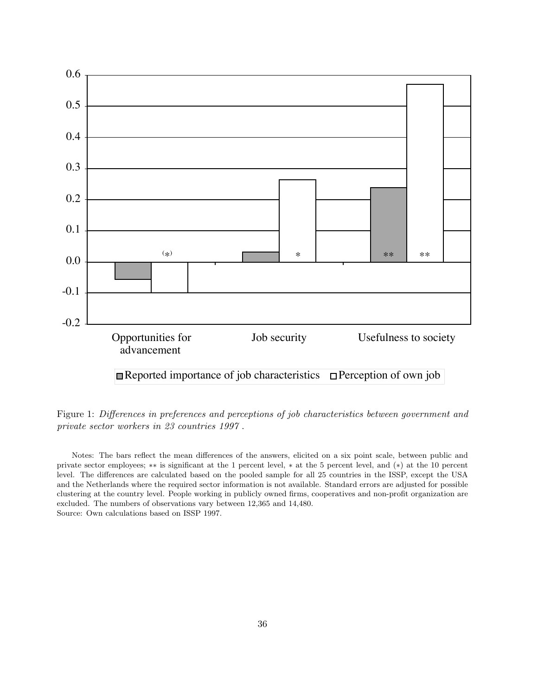

Figure 1: Differences in preferences and perceptions of job characteristics between government and private sector workers in 23 countries 1997 .

Notes: The bars reflect the mean differences of the answers, elicited on a six point scale, between public and private sector employees; ∗∗ is significant at the 1 percent level, ∗ at the 5 percent level, and (∗) at the 10 percent level. The differences are calculated based on the pooled sample for all 25 countries in the ISSP, except the USA and the Netherlands where the required sector information is not available. Standard errors are adjusted for possible clustering at the country level. People working in publicly owned firms, cooperatives and non-profit organization are excluded. The numbers of observations vary between 12,365 and 14,480. Source: Own calculations based on ISSP 1997.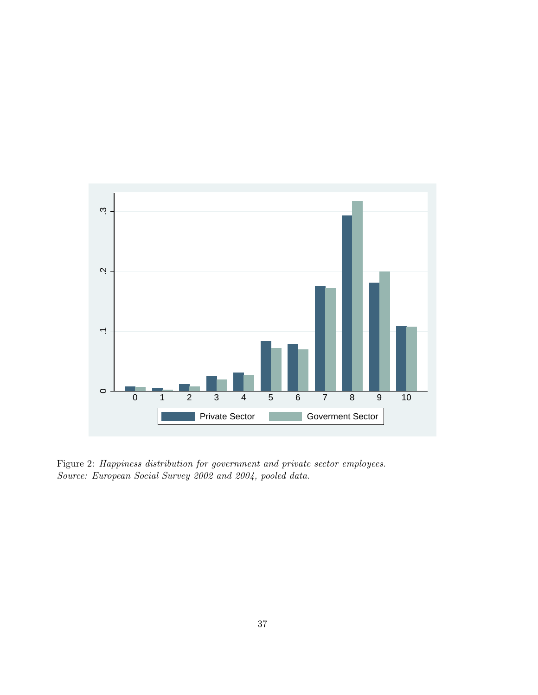

Figure 2: Happiness distribution for government and private sector employees. Source: European Social Survey 2002 and 2004, pooled data.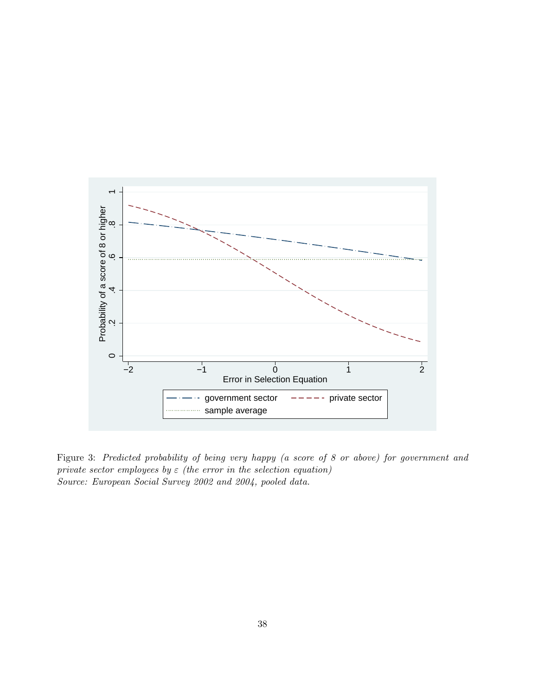

Figure 3: Predicted probability of being very happy (a score of 8 or above) for government and private sector employees by  $\varepsilon$  (the error in the selection equation) Source: European Social Survey 2002 and 2004, pooled data.